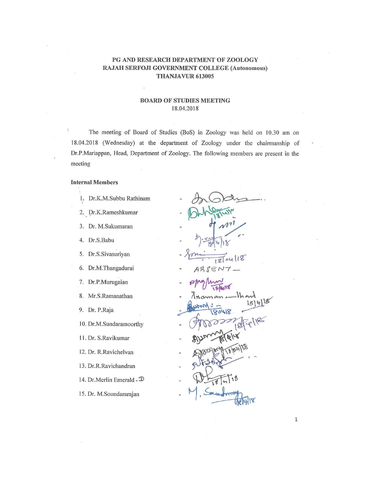### PG AND RESEARCH DEPARTMENT OF ZOOLOGY RAJAH SERFOJI GOVERNMENT COLLEGE (Autonomous) THANJAVUR 613005

#### **BOARD OF STUDIES MEETING** 18.04.2018

The meeting of Board of Studies (BoS) in Zoology was held on 10.30 am on 18.04.2018 (Wednesday) at the department of Zoology under the chairmanship of Dr.P.Mariappan, Head, Department of Zoology. The following members are present in the meeting

#### **Internal Members**

- 1. Dr.K.M.Subbu Rathinam
- 2. Dr.K.Rameshkumar
- 3. Dr. M.Sukumaran
- 4. Dr.S.Babu
- 5. Dr.S.Sivasuriyan
- 6. Dr.M.Thangadurai
- 7. Dr.P.Murugaian
- 8. Mr.S.Ramanathan
- 9. Dr. P.Raja

10. Dr.M.Sundaramoorthy

- 11. Dr. S.Ravikumar
- 12. Dr. R.Ravichelvan
- 13. Dr.R.Ravichandran
- 14. Dr. Merlin Emerald . D
- 15. Dr. M.Soundararajan

118  $\mathcal{D}$ ABSEN

80418

 $\mathbf 1$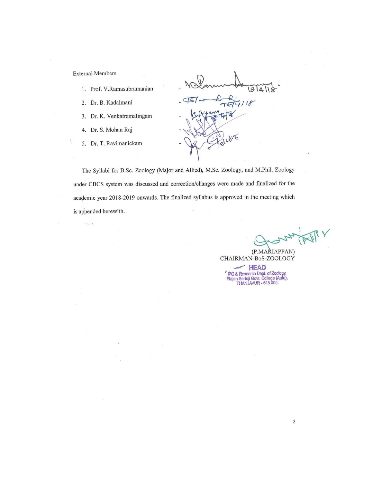**External Members** 

 $\sim_{\rm H_{\rm X}}$  .

- 1. Prof. V.Ramasubramanian
- 2. Dr. B. Kadalmani
- 3. Dr. K. Venkatramalingam
- 4. Dr. S. Mohan Raj
- 5. Dr. T. Ravimanickam

BI  $718$ 

The Syllabi for B.Sc. Zoology (Major and Allied), M.Sc. Zoology, and M.Phil. Zoology under CBCS system was discussed and correction/changes were made and finalized for the academic year 2018-2019 onwards. The finalized syllabus is approved in the meeting which is appended herewith.

(P.MARIAPPAN) CHAIRMAN-BoS-ZOOLOGY

 $\sim$  HEAD PG & Research Dept. of Zoology,<br>Rajah Serfoji Govt. College (Auto),<br>THANJAVUR - 613 005.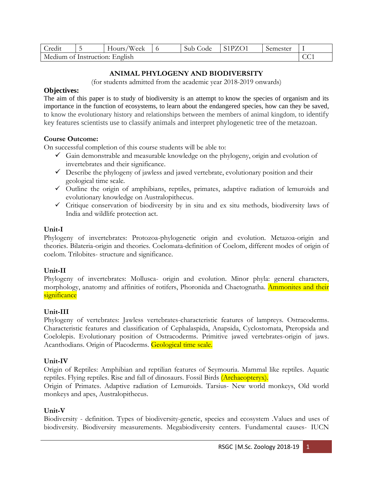| Credit                         |  | 'Week<br>$r$ dours/ |  | Sub Code | S1PZO1 | Semester |  |
|--------------------------------|--|---------------------|--|----------|--------|----------|--|
| Medium of Instruction: English |  |                     |  |          |        |          |  |

# **ANIMAL PHYLOGENY AND BIODIVERSITY**

(for students admitted from the academic year 2018-2019 onwards)

## **Objectives:**

The aim of this paper is to study of biodiversity is an attempt to know the species of organism and its importance in the function of ecosystems, to learn about the endangered species, how can they be saved, to know the evolutionary history and relationships between the members of animal kingdom, to identify key features scientists use to classify animals and interpret phylogenetic tree of the metazoan.

## **Course Outcome:**

On successful completion of this course students will be able to:

- $\checkmark$  Gain demonstrable and measurable knowledge on the phylogeny, origin and evolution of invertebrates and their significance.
- $\checkmark$  Describe the phylogeny of jawless and jawed vertebrate, evolutionary position and their geological time scale.
- ✓ Outline the origin of amphibians, reptiles, primates, adaptive radiation of lemuroids and evolutionary knowledge on Australopithecus.
- $\checkmark$  Critique conservation of biodiversity by in situ and ex situ methods, biodiversity laws of India and wildlife protection act.

## **Unit-I**

Phylogeny of invertebrates: Protozoa-phylogenetic origin and evolution. Metazoa-origin and theories. Bilateria-origin and theories. Coelomata-definition of Coelom, different modes of origin of coelom. Trilobites- structure and significance.

# **Unit-II**

Phylogeny of invertebrates: Mollusca- origin and evolution. Minor phyla: general characters, morphology, anatomy and affinities of rotifers, Phoronida and Chaetognatha. Ammonites and their significance

# **Unit-III**

Phylogeny of vertebrates: Jawless vertebrates-characteristic features of lampreys. Ostracoderms. Characteristic features and classification of Cephalaspida, Anapsida, Cyclostomata, Pteropsida and Coelolepis. Evolutionary position of Ostracoderms. Primitive jawed vertebrates-origin of jaws. Acanthodians. Origin of Placoderms. Geological time scale.

# **Unit-IV**

Origin of Reptiles: Amphibian and reptilian features of Seymouria. Mammal like reptiles. Aquatic reptiles. Flying reptiles. Rise and fall of dinosaurs. Fossil Birds (Archaeopteryx).

Origin of Primates. Adaptive radiation of Lemuroids. Tarsius- New world monkeys, Old world monkeys and apes, Australopithecus.

## **Unit-V**

Biodiversity - definition. Types of biodiversity-genetic, species and ecosystem .Values and uses of biodiversity. Biodiversity measurements. Megabiodiversity centers. Fundamental causes- IUCN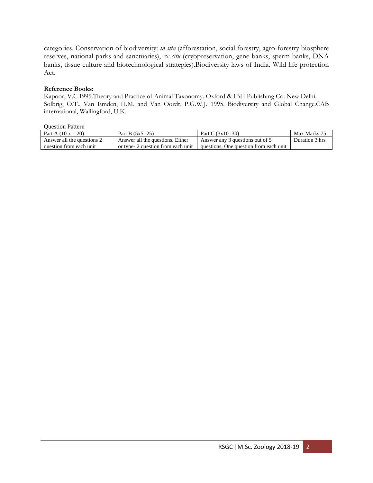categories. Conservation of biodiversity: *in situ* (afforestation, social forestry, agro-forestry biosphere reserves, national parks and sanctuaries), *ex situ* (cryopreservation, gene banks, sperm banks, DNA banks, tissue culture and biotechnological strategies).Biodiversity laws of India. Wild life protection Act.

### **Reference Books:**

Kapoor, V.C.1995.Theory and Practice of Animal Taxonomy. Oxford & IBH Publishing Co. New Delhi. Solbrig, O.T., Van Emden, H.M. and Van Oordt, P.G.W.J. 1995. Biodiversity and Global Change.CAB international, Wallingford, U.K.

| <b>Question Pattern</b> |  |
|-------------------------|--|
|-------------------------|--|

| _ _ _ _ _ _ _ _ _ _ _ _ _ _ |                                    |                                        |                |
|-----------------------------|------------------------------------|----------------------------------------|----------------|
| Part A $(10 x = 20)$        | Part B $(5x5=25)$                  | Part C $(3x10=30)$                     | Max Marks 75   |
| Answer all the questions 2  | Answer all the questions. Either   | Answer any 3 questions out of 5        | Duration 3 hrs |
| question from each unit     | or type- 2 question from each unit | questions, One question from each unit |                |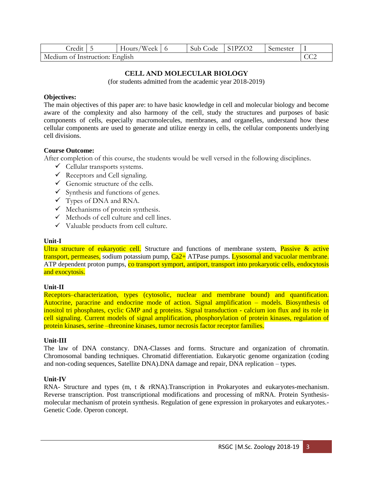| $. \text{redit}$ 5             |  | Hours/Week $\vert$ 6 |  | Sub Code | S <sub>1</sub> PZ <sub>O2</sub> | Semester |  |
|--------------------------------|--|----------------------|--|----------|---------------------------------|----------|--|
| Medium of Instruction: English |  |                      |  |          |                                 |          |  |

## **CELL AND MOLECULAR BIOLOGY**

(for students admitted from the academic year 2018-2019)

### **Objectives:**

The main objectives of this paper are: to have basic knowledge in cell and molecular biology and become aware of the complexity and also harmony of the cell, study the structures and purposes of basic components of cells, especially macromolecules, membranes, and organelles, understand how these cellular components are used to generate and utilize energy in cells, the cellular components underlying cell divisions.

### **Course Outcome:**

After completion of this course, the students would be well versed in the following disciplines.

- $\checkmark$  Cellular transports systems.
- $\checkmark$  Receptors and Cell signaling.
- $\checkmark$  Genomic structure of the cells.
- $\checkmark$  Synthesis and functions of genes.
- $\checkmark$  Types of DNA and RNA.
- $\checkmark$  Mechanisms of protein synthesis.
- $\checkmark$  Methods of cell culture and cell lines.
- ✓ Valuable products from cell culture.

#### **Unit-I**

Ultra structure of eukaryotic cell. Structure and functions of membrane system, Passive & active transport, permeases, sodium potassium pump, Ca2+ ATPase pumps. Lysosomal and vacuolar membrane. ATP dependent proton pumps, co transport symport, antiport, transport into prokaryotic cells, endocytosis and exocytosis.

#### **Unit-II**

Receptors–characterization, types (cytosolic, nuclear and membrane bound) and quantification. Autocrine, paracrine and endocrine mode of action. Signal amplification – models. Biosynthesis of inositol tri phosphates, cyclic GMP and g proteins. Signal transduction - calcium ion flux and its role in cell signaling. Current models of signal amplification, phosphorylation of protein kinases, regulation of protein kinases, serine –threonine kinases, tumor necrosis factor receptor families.

#### **Unit-III**

The law of DNA constancy. DNA-Classes and forms. Structure and organization of chromatin. Chromosomal banding techniques. Chromatid differentiation. Eukaryotic genome organization (coding and non-coding sequences, Satellite DNA).DNA damage and repair, DNA replication – types.

#### **Unit-IV**

RNA- Structure and types (m, t & rRNA).Transcription in Prokaryotes and eukaryotes-mechanism. Reverse transcription. Post transcriptional modifications and processing of mRNA. Protein Synthesismolecular mechanism of protein synthesis. Regulation of gene expression in prokaryotes and eukaryotes.- Genetic Code. Operon concept.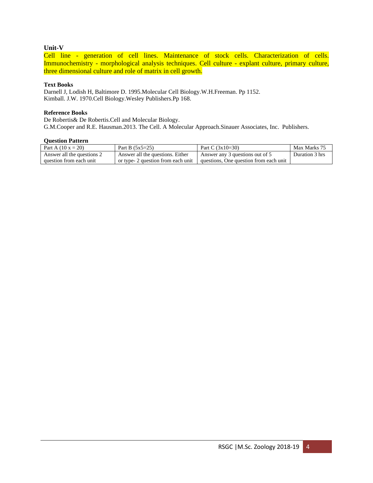#### **Unit-V**

Cell line - generation of cell lines. Maintenance of stock cells. Characterization of cells. Immunochemistry - morphological analysis techniques. Cell culture - explant culture, primary culture, three dimensional culture and role of matrix in cell growth.

#### **Text Books**

Darnell J, Lodish H, Baltimore D. 1995.Molecular Cell Biology.W.H.Freeman. Pp 1152. Kimball. J.W. 1970.Cell Biology.Wesley Publishers.Pp 168.

#### **Reference Books**

De Robertis& De Robertis.Cell and Molecular Biology. G.M.Cooper and R.E. Hausman.2013. The Cell. A Molecular Approach.Sinauer Associates, Inc. Publishers.

| Part A $(10 x = 20)$       | Part B $(5x5=25)$                  | Part C $(3x10=30)$                     | Max Marks 75   |
|----------------------------|------------------------------------|----------------------------------------|----------------|
| Answer all the questions 2 | Answer all the questions. Either   | Answer any 3 questions out of 5        | Duration 3 hrs |
| question from each unit    | or type- 2 question from each unit | questions. One question from each unit |                |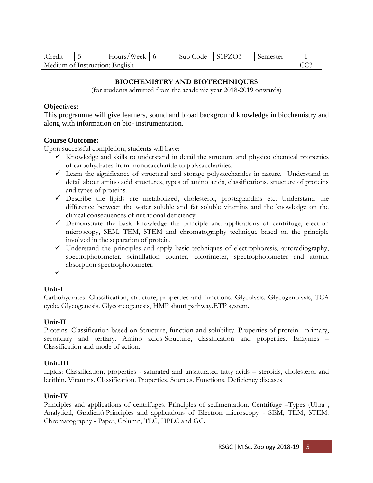| Credit                         |  | Hours/Week $\vert$ 6 |  | Sub Code | $\vert$ S1PZO3 | Semester |  |
|--------------------------------|--|----------------------|--|----------|----------------|----------|--|
| Medium of Instruction: English |  |                      |  |          |                |          |  |

# **BIOCHEMISTRY AND BIOTECHNIQUES**

(for students admitted from the academic year 2018-2019 onwards)

## **Objectives:**

This programme will give learners, sound and broad background knowledge in biochemistry and along with information on bio- instrumentation.

# **Course Outcome:**

Upon successful completion, students will have:

- $\checkmark$  Knowledge and skills to understand in detail the structure and physico chemical properties of carbohydrates from monosaccharide to polysaccharides.
- ✓ Learn the significance of structural and storage polysaccharides in nature. Understand in detail about amino acid structures, types of amino acids, classifications, structure of proteins and types of proteins.
- ✓ Describe the lipids are metabolized, cholesterol, prostaglandins etc. Understand the difference between the water soluble and fat soluble vitamins and the knowledge on the clinical consequences of nutritional deficiency.
- ✓ Demonstrate the basic knowledge the principle and applications of centrifuge, electron microscopy, SEM, TEM, STEM and chromatography technique based on the principle involved in the separation of protein.
- ✓ Understand the principles and apply basic techniques of electrophoresis, autoradiography, spectrophotometer, scintillation counter, colorimeter, spectrophotometer and atomic absorption spectrophotometer.
- ✓

# **Unit-I**

Carbohydrates: Classification, structure, properties and functions. Glycolysis. Glycogenolysis, TCA cycle. Glycogenesis. Glyconeogenesis, HMP shunt pathway.ETP system.

# **Unit-II**

Proteins: Classification based on Structure, function and solubility. Properties of protein - primary, secondary and tertiary. Amino acids-Structure, classification and properties. Enzymes – Classification and mode of action.

# **Unit-III**

Lipids: Classification, properties - saturated and unsaturated fatty acids – steroids, cholesterol and lecithin. Vitamins. Classification. Properties. Sources. Functions. Deficiency diseases

# **Unit-IV**

Principles and applications of centrifuges. Principles of sedimentation. Centrifuge –Types (Ultra , Analytical, Gradient).Principles and applications of Electron microscopy - SEM, TEM, STEM. Chromatography - Paper, Column, TLC, HPLC and GC.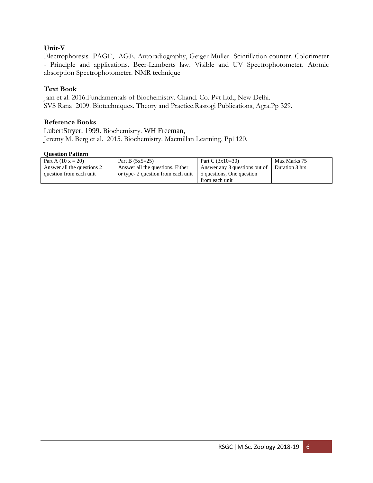# **Unit-V**

Electrophoresis- PAGE, AGE. Autoradiography, Geiger Muller -Scintillation counter. Colorimeter - Principle and applications. Beer-Lamberts law. Visible and UV Spectrophotometer. Atomic absorption Spectrophotometer. NMR technique

# **Text Book**

Jain et al. 2016.Fundamentals of Biochemistry. Chand. Co. Pvt Ltd., New Delhi. SVS Rana 2009. Biotechniques. Theory and Practice.Rastogi Publications, Agra.Pp 329.

# **Reference Books**

LubertStryer. 1999. Biochemistry. WH Freeman, Jeremy M. Berg et al. 2015. Biochemistry. Macmillan Learning, Pp1120.

| Part A $(10 x = 20)$       | Part B $(5x5=25)$                  | Part C $(3x10=30)$            | Max Marks 75   |
|----------------------------|------------------------------------|-------------------------------|----------------|
| Answer all the questions 2 | Answer all the questions. Either   | Answer any 3 questions out of | Duration 3 hrs |
| question from each unit    | or type- 2 question from each unit | 5 questions, One question     |                |
|                            |                                    | from each unit                |                |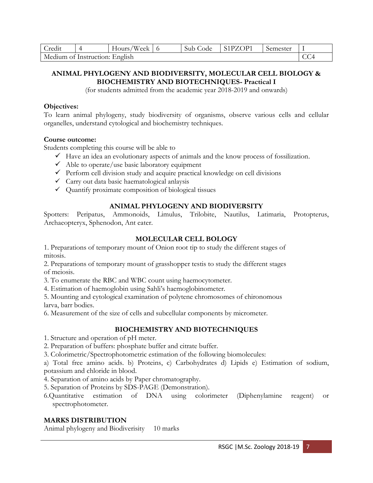| Credit                         |  | Hours/Week |  | Sub Code | ∣ S1PZOP1 | Semester |  |
|--------------------------------|--|------------|--|----------|-----------|----------|--|
| Medium of Instruction: English |  |            |  |          |           |          |  |

# **ANIMAL PHYLOGENY AND BIODIVERSITY, MOLECULAR CELL BIOLOGY & BIOCHEMISTRY AND BIOTECHNIQUES- Practical I**

(for students admitted from the academic year 2018-2019 and onwards)

## **Objectives:**

To learn animal phylogeny, study biodiversity of organisms, observe various cells and cellular organelles, understand cytological and biochemistry techniques.

## **Course outcome:**

Students completing this course will be able to

- $\checkmark$  Have an idea an evolutionary aspects of animals and the know process of fossilization.
- $\checkmark$  Able to operate/use basic laboratory equipment
- $\checkmark$  Perform cell division study and acquire practical knowledge on cell divisions
- $\checkmark$  Carry out data basic haematological anlaysis
- ✓ Quantify proximate composition of biological tissues

# **ANIMAL PHYLOGENY AND BIODIVERSITY**

Spotters: Peripatus, Ammonoids, Limulus, Trilobite, Nautilus, Latimaria, Protopterus, Archaeopteryx, Sphenodon, Ant eater.

# **MOLECULAR CELL BOLOGY**

1. Preparations of temporary mount of Onion root tip to study the different stages of mitosis.

2. Preparations of temporary mount of grasshopper testis to study the different stages of meiosis.

3. To enumerate the RBC and WBC count using haemocytometer.

4. Estimation of haemoglobin using Sahli's haemoglobinometer.

5. Mounting and cytological examination of polytene chromosomes of chironomous larva, barr bodies.

6. Measurement of the size of cells and subcellular components by micrometer.

# **BIOCHEMISTRY AND BIOTECHNIQUES**

1. Structure and operation of pH meter.

- 2. Preparation of buffers: phosphate buffer and citrate buffer.
- 3. Colorimetric/Spectrophotometric estimation of the following biomolecules:

a) Total free amino acids. b) Proteins, c) Carbohydrates d) Lipids e) Estimation of sodium, potassium and chloride in blood.

4. Separation of amino acids by Paper chromatography.

5. Separation of Proteins by SDS-PAGE (Demonstration).

6.Quantitative estimation of DNA using colorimeter (Diphenylamine reagent) or spectrophotometer.

# **MARKS DISTRIBUTION**

Animal phylogeny and Biodiverisity 10 marks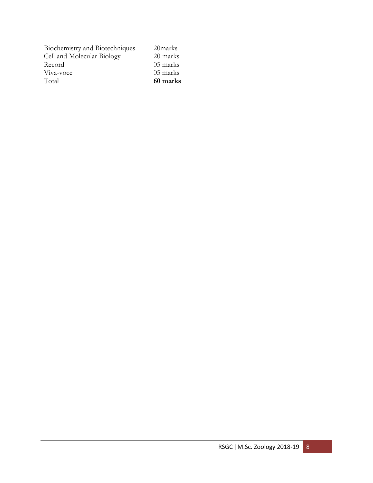| Total                          |          |
|--------------------------------|----------|
| Viva-voce                      | 05 marks |
| Record                         | 05 marks |
| Cell and Molecular Biology     | 20 marks |
| Biochemistry and Biotechniques | 20marks  |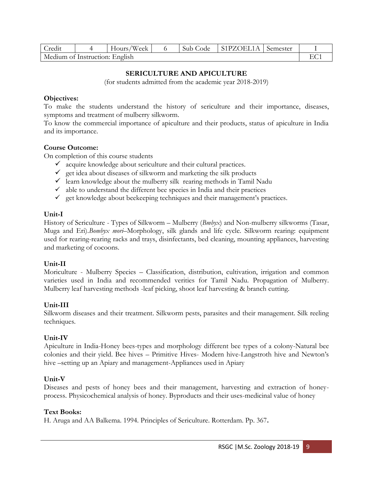| Credit                         |  | 'Week<br>Hours/ |  | Sub Code | S1PZOEL1A | Semester |  |
|--------------------------------|--|-----------------|--|----------|-----------|----------|--|
| Medium of Instruction: English |  |                 |  |          |           |          |  |

# **SERICULTURE AND APICULTURE**

(for students admitted from the academic year 2018-2019)

### **Objectives:**

To make the students understand the history of sericulture and their importance, diseases, symptoms and treatment of mulberry silkworm.

To know the commercial importance of apiculture and their products, status of apiculture in India and its importance.

## **Course Outcome:**

On completion of this course students

- $\checkmark$  acquire knowledge about sericulture and their cultural practices.
- $\checkmark$  get idea about diseases of silkworm and marketing the silk products
- $\checkmark$  learn knowledge about the mulberry silk rearing methods in Tamil Nadu
- $\checkmark$  able to understand the different bee species in India and their practices
- $\checkmark$  get knowledge about beekeeping techniques and their management's practices.

## **Unit-I**

History of Sericulture - Types of Silkworm – Mulberry (*Bmbyx*) and Non-mulberry silkworms (Tasar, Muga and Eri).*Bombyx mori*–Morphology, silk glands and life cycle. Silkworm rearing: equipment used for rearing-rearing racks and trays, disinfectants, bed cleaning, mounting appliances, harvesting and marketing of cocoons.

## **Unit-II**

Moriculture - Mulberry Species – Classification, distribution, cultivation, irrigation and common varieties used in India and recommended verities for Tamil Nadu. Propagation of Mulberry. Mulberry leaf harvesting methods -leaf picking, shoot leaf harvesting & branch cutting.

## **Unit-III**

Silkworm diseases and their treatment. Silkworm pests, parasites and their management. Silk reeling techniques.

## **Unit-IV**

Apiculture in India-Honey bees-types and morphology different bee types of a colony-Natural bee colonies and their yield. Bee hives – Primitive Hives- Modern hive-Langstroth hive and Newton's hive –setting up an Apiary and management-Appliances used in Apiary

## **Unit-V**

Diseases and pests of honey bees and their management, harvesting and extraction of honeyprocess. Physicochemical analysis of honey. Byproducts and their uses-medicinal value of honey

## **Text Books:**

H. Aruga and AA Balkema. 1994. Principles of Sericulture. Rotterdam. Pp. 367**.**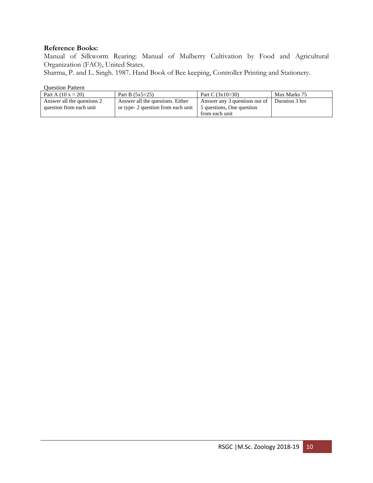### **Reference Books:**

Manual of Silkworm Rearing: Manual of Mulberry Cultivation by Food and Agricultural Organization (FAO), United States.

Sharma, P. and L. Singh. 1987. Hand Book of Bee keeping, Controller Printing and Stationery.

| Part A $(10 x = 20)$       | Part B $(5x5=25)$                  | Part C $(3x10=30)$            | Max Marks 75   |
|----------------------------|------------------------------------|-------------------------------|----------------|
| Answer all the questions 2 | Answer all the questions. Either   | Answer any 3 questions out of | Duration 3 hrs |
| question from each unit    | or type- 2 question from each unit | 5 questions, One question     |                |
|                            |                                    | from each unit                |                |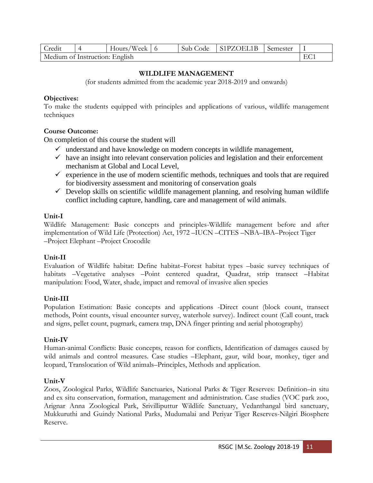| Credit                         | $\Delta$ | 'Week<br>Hours/ |  | Sub Code | S1PZOEL1B | Semester |  |
|--------------------------------|----------|-----------------|--|----------|-----------|----------|--|
| Medium of Instruction: English |          |                 |  |          |           |          |  |

## **WILDLIFE MANAGEMENT**

(for students admitted from the academic year 2018-2019 and onwards)

## **Objectives:**

To make the students equipped with principles and applications of various, wildlife management techniques

# **Course Outcome:**

On completion of this course the student will

- $\checkmark$  understand and have knowledge on modern concepts in wildlife management,
- $\checkmark$  have an insight into relevant conservation policies and legislation and their enforcement mechanism at Global and Local Level,
- $\checkmark$  experience in the use of modern scientific methods, techniques and tools that are required for biodiversity assessment and monitoring of conservation goals
- $\checkmark$  Develop skills on scientific wildlife management planning, and resolving human wildlife conflict including capture, handling, care and management of wild animals.

## **Unit-I**

Wildlife Management: Basic concepts and principles-Wildlife management before and after implementation of Wild Life (Protection) Act, 1972 –IUCN –CITES –NBA–IBA–Project Tiger –Project Elephant –Project Crocodile

# **Unit-II**

Evaluation of Wildlife habitat: Define habitat–Forest habitat types –basic survey techniques of habitats –Vegetative analyses –Point centered quadrat, Quadrat, strip transect –Habitat manipulation: Food, Water, shade, impact and removal of invasive alien species

# **Unit-III**

Population Estimation: Basic concepts and applications -Direct count (block count, transect methods, Point counts, visual encounter survey, waterhole survey). Indirect count (Call count, track and signs, pellet count, pugmark, camera trap, DNA finger printing and aerial photography)

## **Unit-IV**

Human-animal Conflicts: Basic concepts, reason for conflicts, Identification of damages caused by wild animals and control measures. Case studies –Elephant, gaur, wild boar, monkey, tiger and leopard, Translocation of Wild animals–Principles, Methods and application.

# **Unit-V**

Zoos, Zoological Parks, Wildlife Sanctuaries, National Parks & Tiger Reserves: Definition–in situ and ex situ conservation, formation, management and administration. Case studies (VOC park zoo, Arignar Anna Zoological Park, Srivilliputtur Wildlife Sanctuary, Vedanthangal bird sanctuary, Mukkuruthi and Guindy National Parks, Mudumalai and Periyar Tiger Reserves-Nilgiri Biosphere Reserve.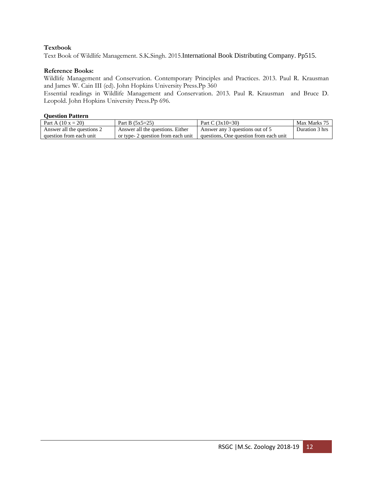### **Textbook**

Text Book of Wildlife Management. S.K.Singh. 2015.International Book Distributing Company. Pp515.

### **Reference Books:**

Wildlife Management and Conservation. Contemporary Principles and Practices. 2013. Paul R. Krausman and James W. Cain III (ed). John Hopkins University Press.Pp 360

Essential readings in Wildlife Management and Conservation. 2013. Paul R. Krausman and Bruce D. Leopold. John Hopkins University Press.Pp 696.

| Part A $(10 x = 20)$       | Part B $(5x5=25)$                  | Part C $(3x10=30)$                     | Max Marks 75   |
|----------------------------|------------------------------------|----------------------------------------|----------------|
| Answer all the questions 2 | Answer all the questions. Either   | Answer any 3 questions out of 5        | Duration 3 hrs |
| question from each unit    | or type- 2 question from each unit | questions, One question from each unit |                |
|                            |                                    |                                        |                |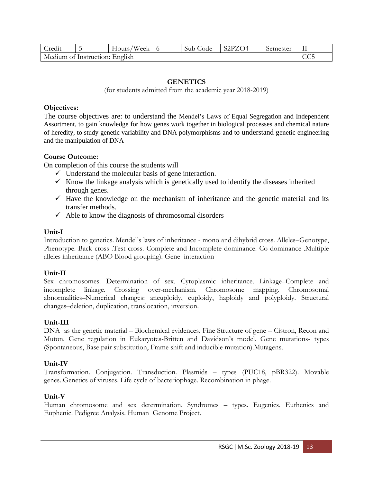| $\cdot$<br>redit               | ~ | 'Week<br>Hours. |  | Sub Code | S <sub>2</sub> P <sub>Z</sub> O <sub>4</sub> | Semester |  |
|--------------------------------|---|-----------------|--|----------|----------------------------------------------|----------|--|
| Medium of Instruction: English |   |                 |  |          |                                              |          |  |

# **GENETICS**

(for students admitted from the academic year 2018-2019)

### **Objectives:**

The course objectives are: to understand the Mendel's Laws of Equal Segregation and Independent Assortment, to gain knowledge for how genes work together in biological processes and chemical nature of heredity, to study genetic variability and DNA polymorphisms and to understand genetic engineering and the manipulation of DNA

### **Course Outcome:**

On completion of this course the students will

- $\checkmark$  Understand the molecular basis of gene interaction.
- $\checkmark$  Know the linkage analysis which is genetically used to identify the diseases inherited through genes.
- $\checkmark$  Have the knowledge on the mechanism of inheritance and the genetic material and its transfer methods.
- $\checkmark$  Able to know the diagnosis of chromosomal disorders

### **Unit-I**

Introduction to genetics. Mendel's laws of inheritance - mono and dihybrid cross. Alleles–Genotype, Phenotype. Back cross .Test cross. Complete and Incomplete dominance. Co dominance .Multiple alleles inheritance (ABO Blood grouping). Gene interaction

## **Unit-II**

Sex chromosomes. Determination of sex. Cytoplasmic inheritance. Linkage–Complete and incomplete linkage. Crossing over-mechanism. Chromosome mapping. Chromosomal abnormalities–Numerical changes: aneuploidy, euploidy, haploidy and polyploidy. Structural changes–deletion, duplication, translocation, inversion.

## **Unit-III**

DNA as the genetic material – Biochemical evidences. Fine Structure of gene – Cistron, Recon and Muton. Gene regulation in Eukaryotes-Britten and Davidson's model. Gene mutations- types (Spontaneous, Base pair substitution, Frame shift and inducible mutation).Mutagens.

## **Unit-IV**

Transformation. Conjugation. Transduction. Plasmids – types (PUC18, pBR322). Movable genes..Genetics of viruses. Life cycle of bacteriophage. Recombination in phage.

#### **Unit-V**

Human chromosome and sex determination. Syndromes – types. Eugenics. Euthenics and Euphenic. Pedigree Analysis. Human Genome Project.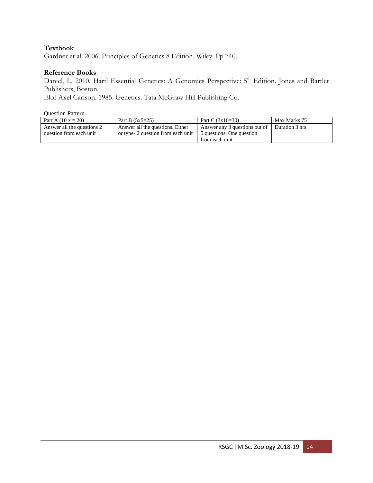# **Textbook**

Gardner et al. 2006. Principles of Genetics 8 Edition. Wiley. Pp 740.

### **Reference Books**

Daniel, L. 2010. Hartl Essential Genetics: A Genomics Perspective: 5<sup>th</sup> Edition. Jones and Bartlet Publishers, Boston.

Elof Axel Carlson. 1985. Genetics. Tata McGraw Hill Publishing Co.

| Part A $(10 x = 20)$       | Part B $(5x5=25)$                  | Part C $(3x10=30)$            | Max Marks 75   |
|----------------------------|------------------------------------|-------------------------------|----------------|
| Answer all the questions 2 | Answer all the questions. Either   | Answer any 3 questions out of | Duration 3 hrs |
| question from each unit    | or type- 2 question from each unit | 5 questions, One question     |                |
|                            |                                    | from each unit                |                |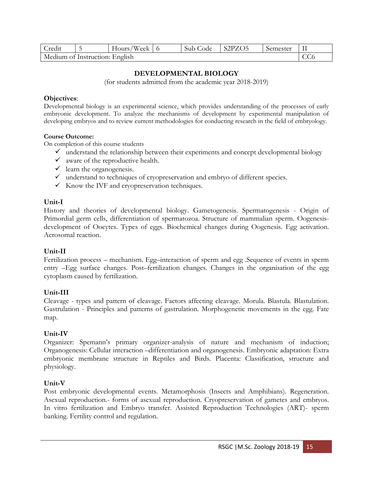| _redit |                                       | 'Week<br>Hours, |  | Code<br>Sub | S <sub>2</sub> PZO <sub>5</sub> | Semester | 11 |  |
|--------|---------------------------------------|-----------------|--|-------------|---------------------------------|----------|----|--|
|        | Medium of Instruction: English<br>UUU |                 |  |             |                                 |          |    |  |

# **DEVELOPMENTAL BIOLOGY**

(for students admitted from the academic year 2018-2019)

### **Objectives**:

Developmental biology is an experimental science, which provides understanding of the processes of early embryonic development. To analyze the mechanisms of development by experimental manipulation of developing embryos and to review current methodologies for conducting research in the field of embryology.

#### **Course Outcome:**

On completion of this course students

- $\checkmark$  understand the relationship between their experiments and concept developmental biology
- $\checkmark$  aware of the reproductive health.
- $\checkmark$  learn the organogenesis.
- ✓ understand to techniques of cryopreservation and embryo of different species.
- ✓ Know the IVF and cryopreservation techniques.

### **Unit-I**

History and theories of developmental biology. Gametogenesis. Spermatogenesis - Origin of Primordial germ cells, differentiation of spermatozoa. Structure of mammalian sperm. Oogenesisdevelopment of Oocytes. Types of eggs. Biochemical changes during Oogenesis. Egg activation. Acrosomal reaction.

## **Unit-II**

Fertilization process – mechanism. Egg–interaction of sperm and egg .Sequence of events in sperm entry –Egg surface changes. Post–fertilization changes. Changes in the organisation of the egg cytoplasm caused by fertilization.

## **Unit-III**

Cleavage - types and pattern of cleavage. Factors affecting cleavage. Morula. Blastula. Blastulation. Gastrulation - Principles and patterns of gastrulation. Morphogenetic movements in the egg. Fate map.

## **Unit-IV**

Organizer: Spemann's primary organizer-analysis of nature and mechanism of induction; Organogenesis: Cellular interaction –differentiation and organogenesis. Embryonic adaptation: Extra embryonic membrane structure in Reptiles and Birds. Placenta: Classification, structure and physiology.

## **Unit-V**

Post embryonic developmental events. Metamorphosis (Insects and Amphibians). Regeneration. Asexual reproduction.- forms of asexual reproduction. Cryopreservation of gametes and embryos. In vitro fertilization and Embryo transfer. Assisted Reproduction Technologies (ART)- sperm banking. Fertility control and regulation.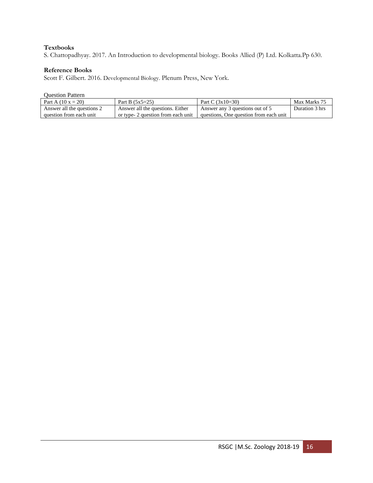## **Textbooks**

S. Chattopadhyay. 2017. An Introduction to developmental biology. Books Allied (P) Ltd. Kolkatta.Pp 630.

#### **Reference Books**

Scott F. Gilbert. 2016. Developmental Biology. Plenum Press, New York.

| Part A $(10 x = 20)$       | Part B $(5x5=25)$                  | Part C $(3x10=30)$                     | Max Marks 75   |
|----------------------------|------------------------------------|----------------------------------------|----------------|
| Answer all the questions 2 | Answer all the questions. Either   | Answer any 3 questions out of 5        | Duration 3 hrs |
| question from each unit    | or type- 2 question from each unit | questions. One question from each unit |                |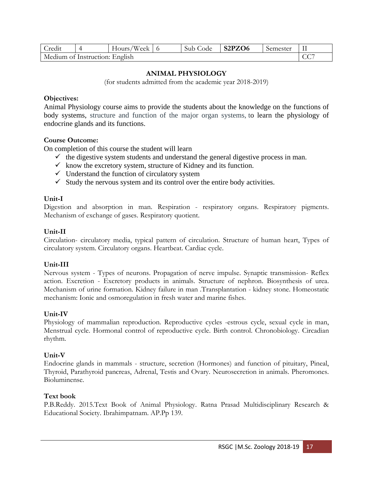| _redit                         | ′Week<br>Hours, | Sub Code | S2PZO6 | Semester |                      |
|--------------------------------|-----------------|----------|--------|----------|----------------------|
| Medium of Instruction: English |                 |          |        |          | $\cap$ $\cap$<br>UU. |

## **ANIMAL PHYSIOLOGY**

(for students admitted from the academic year 2018-2019)

### **Objectives:**

Animal Physiology course aims to provide the students about the knowledge on the functions of body systems, structure and function of the major organ systems, to learn the physiology of endocrine glands and its functions.

## **Course Outcome:**

On completion of this course the student will learn

- $\checkmark$  the digestive system students and understand the general digestive process in man.
- $\checkmark$  know the excretory system, structure of Kidney and its function.
- $\checkmark$  Understand the function of circulatory system
- $\checkmark$  Study the nervous system and its control over the entire body activities.

## **Unit-I**

Digestion and absorption in man. Respiration - respiratory organs. Respiratory pigments. Mechanism of exchange of gases. Respiratory quotient.

## **Unit-II**

Circulation- circulatory media, typical pattern of circulation. Structure of human heart, Types of circulatory system. Circulatory organs. Heartbeat. Cardiac cycle.

## **Unit-III**

Nervous system - Types of neurons. Propagation of nerve impulse. Synaptic transmission- Reflex action. Excretion - Excretory products in animals. Structure of nephron. Biosynthesis of urea. Mechanism of urine formation. Kidney failure in man .Transplantation - kidney stone. Homeostatic mechanism: Ionic and osmoregulation in fresh water and marine fishes.

## **Unit-IV**

Physiology of mammalian reproduction. Reproductive cycles -estrous cycle, sexual cycle in man, Menstrual cycle. Hormonal control of reproductive cycle. Birth control. Chronobiology. Circadian rhythm.

## **Unit-V**

Endocrine glands in mammals - structure, secretion (Hormones) and function of pituitary, Pineal, Thyroid, Parathyroid pancreas, Adrenal, Testis and Ovary. Neurosecretion in animals. Pheromones. Bioluminense.

# **Text book**

P.B.Reddy. 2015.Text Book of Animal Physiology. Ratna Prasad Multidisciplinary Research & Educational Society. Ibrahimpatnam. AP.Pp 139.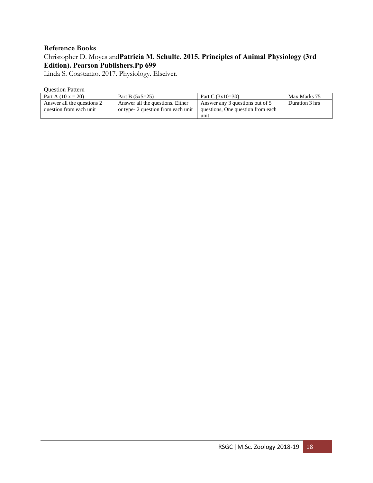## **Reference Books**

# Christopher D. Moyes and**Patricia M. Schulte. 2015. Principles of Animal Physiology (3rd Edition). Pearson Publishers.Pp 699**

Linda S. Coastanzo. 2017. Physiology. Elseiver.

| Part A $(10 x = 20)$       | Part B $(5x5=25)$                  | Part C $(3x10=30)$                | Max Marks 75   |
|----------------------------|------------------------------------|-----------------------------------|----------------|
| Answer all the questions 2 | Answer all the questions. Either   | Answer any 3 questions out of 5   | Duration 3 hrs |
| question from each unit    | or type- 2 question from each unit | questions, One question from each |                |
|                            |                                    | unit                              |                |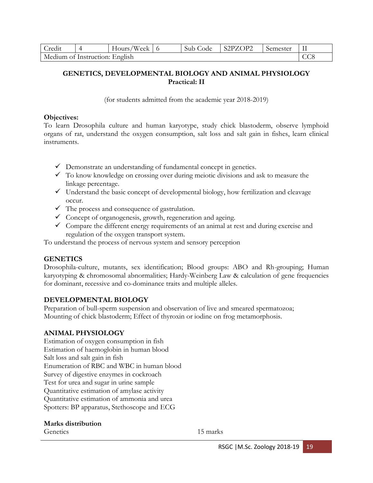| Credit                         | Hours/Week $\vert$ 6 | Sub Code | S2PZOP2 | Semester |  |
|--------------------------------|----------------------|----------|---------|----------|--|
| Medium of Instruction: English |                      |          |         |          |  |

# **GENETICS, DEVELOPMENTAL BIOLOGY AND ANIMAL PHYSIOLOGY Practical: II**

(for students admitted from the academic year 2018-2019)

## **Objectives:**

To learn Drosophila culture and human karyotype, study chick blastoderm, observe lymphoid organs of rat, understand the oxygen consumption, salt loss and salt gain in fishes, learn clinical instruments.

- $\checkmark$  Demonstrate an understanding of fundamental concept in genetics.
- $\checkmark$  To know knowledge on crossing over during meiotic divisions and ask to measure the linkage percentage.
- $\checkmark$  Understand the basic concept of developmental biology, how fertilization and cleavage occur.
- $\checkmark$  The process and consequence of gastrulation.
- $\checkmark$  Concept of organogenesis, growth, regeneration and ageing.
- $\checkmark$  Compare the different energy requirements of an animal at rest and during exercise and regulation of the oxygen transport system.

To understand the process of nervous system and sensory perception

# **GENETICS**

Drosophila-culture, mutants, sex identification; Blood groups: ABO and Rh-grouping; Human karyotyping & chromosomal abnormalities; Hardy-Weinberg Law & calculation of gene frequencies for dominant, recessive and co-dominance traits and multiple alleles.

## **DEVELOPMENTAL BIOLOGY**

Preparation of bull-sperm suspension and observation of live and smeared spermatozoa; Mounting of chick blastoderm; Effect of thyroxin or iodine on frog metamorphosis.

# **ANIMAL PHYSIOLOGY**

Estimation of oxygen consumption in fish Estimation of haemoglobin in human blood Salt loss and salt gain in fish Enumeration of RBC and WBC in human blood Survey of digestive enzymes in cockroach Test for urea and sugar in urine sample Quantitative estimation of amylase activity Quantitative estimation of ammonia and urea Spotters: BP apparatus, Stethoscope and ECG

## **Marks distribution**

Genetics 15 marks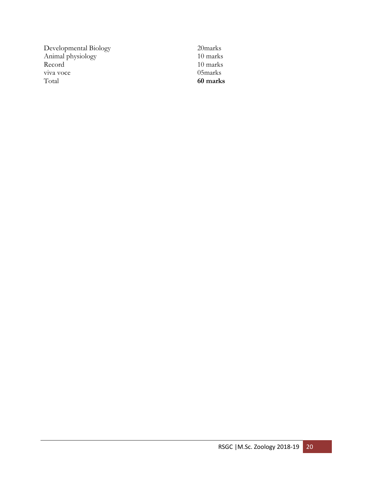Developmental Biology 20marks Animal physiology 10 marks Record 10 marks<br>viva voce 05 marks viva voce<br>Total

Total **60 marks**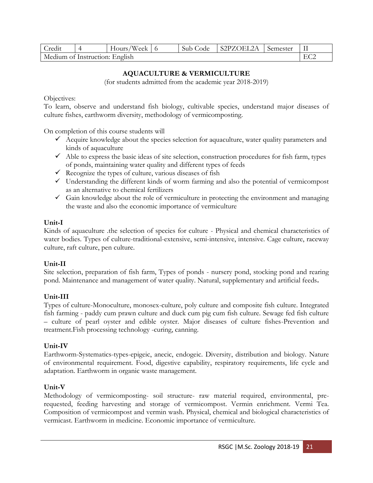| Credit |                                | Hours/Week $\vert$ 6 |  | Sub Code | S2PZOEL2A | Semester |  |  |
|--------|--------------------------------|----------------------|--|----------|-----------|----------|--|--|
|        | Medium of Instruction: English |                      |  |          |           |          |  |  |

# **AQUACULTURE & VERMICULTURE**

(for students admitted from the academic year 2018-2019)

## Objectives:

To learn, observe and understand fish biology, cultivable species, understand major diseases of culture fishes, earthworm diversity, methodology of vermicomposting.

On completion of this course students will

- $\checkmark$  Acquire knowledge about the species selection for aquaculture, water quality parameters and kinds of aquaculture
- $\checkmark$  Able to express the basic ideas of site selection, construction procedures for fish farm, types of ponds, maintaining water quality and different types of feeds
- $\checkmark$  Recognize the types of culture, various diseases of fish
- ✓ Understanding the different kinds of worm farming and also the potential of vermicompost as an alternative to chemical fertilizers
- ✓ Gain knowledge about the role of vermiculture in protecting the environment and managing the waste and also the economic importance of vermiculture

## **Unit-I**

Kinds of aquaculture .the selection of species for culture - Physical and chemical characteristics of water bodies. Types of culture-traditional-extensive, semi-intensive, intensive. Cage culture, raceway culture, raft culture, pen culture.

# **Unit-II**

Site selection, preparation of fish farm, Types of ponds - nursery pond, stocking pond and rearing pond. Maintenance and management of water quality. Natural, supplementary and artificial feeds**.**

# **Unit-III**

Types of culture-Monoculture, monosex-culture, poly culture and composite fish culture. Integrated fish farming - paddy cum prawn culture and duck cum pig cum fish culture. Sewage fed fish culture – culture of pearl oyster and edible oyster. Major diseases of culture fishes-Prevention and treatment.Fish processing technology -curing, canning.

## **Unit-IV**

Earthworm-Systematics-types-epigeic, anecic, endogeic. Diversity, distribution and biology. Nature of environmental requirement. Food, digestive capability, respiratory requirements, life cycle and adaptation. Earthworm in organic waste management.

## **Unit-V**

Methodology of vermicomposting- soil structure- raw material required, environmental, prerequested, feeding harvesting and storage of vermicompost. Vermin enrichment. Vermi Tea. Composition of vermicompost and vermin wash. Physical, chemical and biological characteristics of vermicast. Earthworm in medicine. Economic importance of vermiculture.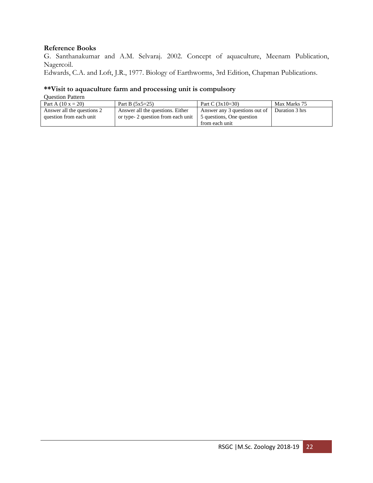## **Reference Books**

G. Santhanakumar and A.M. Selvaraj. 2002. Concept of aquaculture, Meenam Publication, Nagercoil.

Edwards, C.A. and Loft, J.R., 1977. Biology of Earthworms, 3rd Edition, Chapman Publications.

# **\*\*Visit to aquaculture farm and processing unit is compulsory**

| Part A $(10 x = 20)$       | Part B $(5x5=25)$                  | Part C $(3x10=30)$            | Max Marks 75   |
|----------------------------|------------------------------------|-------------------------------|----------------|
| Answer all the questions 2 | Answer all the questions. Either   | Answer any 3 questions out of | Duration 3 hrs |
| question from each unit    | or type- 2 question from each unit | 5 questions, One question     |                |
|                            |                                    | from each unit                |                |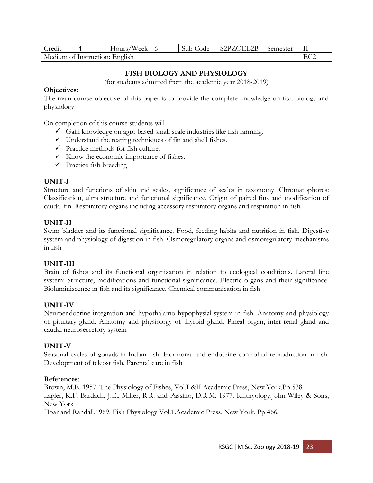| Credit                         | $\sqrt{2}$ | Hours/Week |  | Sub Code | S2PZOEL2B | Semester |  |
|--------------------------------|------------|------------|--|----------|-----------|----------|--|
| Medium of Instruction: English |            |            |  |          |           |          |  |

# **FISH BIOLOGY AND PHYSIOLOGY**

(for students admitted from the academic year 2018-2019)

# **Objectives:**

The main course objective of this paper is to provide the complete knowledge on fish biology and physiology

On completion of this course students will

- $\checkmark$  Gain knowledge on agro based small scale industries like fish farming.
- $\checkmark$  Understand the rearing techniques of fin and shell fishes.
- $\checkmark$  Practice methods for fish culture.
- $\checkmark$  Know the economic importance of fishes.
- $\checkmark$  Practice fish breeding

# **UNIT-I**

Structure and functions of skin and scales, significance of scales in taxonomy. Chromatophores: Classification, ultra structure and functional significance. Origin of paired fins and modification of caudal fin. Respiratory organs including accessory respiratory organs and respiration in fish

## **UNIT-II**

Swim bladder and its functional significance. Food, feeding habits and nutrition in fish. Digestive system and physiology of digestion in fish. Osmoregulatory organs and osmoregulatory mechanisms in fish

## **UNIT-III**

Brain of fishes and its functional organization in relation to ecological conditions. Lateral line system: Structure, modifications and functional significance. Electric organs and their significance. Bioluminiscence in fish and its significance. Chemical communication in fish

# **UNIT-IV**

Neuroendocrine integration and hypothalamo-hypophysial system in fish. Anatomy and physiology of pituitary gland. Anatomy and physiology of thyroid gland. Pineal organ, inter-renal gland and caudal neurosecretory system

## **UNIT-V**

Seasonal cycles of gonads in Indian fish. Hormonal and endocrine control of reproduction in fish. Development of teleost fish. Parental care in fish

## **References**:

Brown, M.E. 1957. The Physiology of Fishes, Vol.I &II.Academic Press, New York.Pp 538. Lagler, K.F. Bardach, J.E., Miller, R.R. and Passino, D.R.M. 1977. Ichthyology.John Wiley & Sons, New York Hoar and Randall.1969. Fish Physiology Vol.1.Academic Press, New York. Pp 466.

RSGC |M.Sc. Zoology 2018-19 23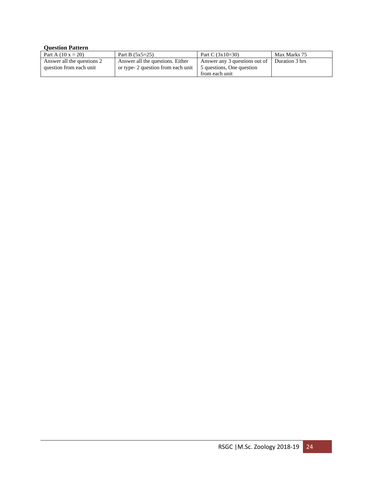| Part A $(10 x = 20)$       | Part B $(5x5=25)$                 | Part C $(3x10=30)$            | Max Marks 75   |
|----------------------------|-----------------------------------|-------------------------------|----------------|
| Answer all the questions 2 | Answer all the questions. Either  | Answer any 3 questions out of | Duration 3 hrs |
| question from each unit    | or type-2 question from each unit | 5 questions, One question     |                |
|                            |                                   | from each unit                |                |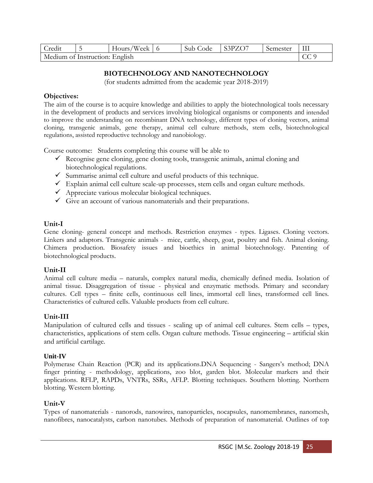| _redit                         |  | Hours/Week |  | Sub Code | 33PZO7 | Semester | III |
|--------------------------------|--|------------|--|----------|--------|----------|-----|
| Medium of Instruction: English |  |            |  |          |        |          |     |

# **BIOTECHNOLOGY AND NANOTECHNOLOGY**

(for students admitted from the academic year 2018-2019)

### **Objectives:**

The aim of the course is to acquire knowledge and abilities to apply the biotechnological tools necessary in the development of products and services involving biological organisms or components and intended to improve the understanding on recombinant DNA technology, different types of cloning vectors, animal cloning, transgenic animals, gene therapy, animal cell culture methods, stem cells, biotechnological regulations, assisted reproductive technology and nanobiology.

Course outcome: Students completing this course will be able to

- $\checkmark$  Recognise gene cloning, gene cloning tools, transgenic animals, animal cloning and biotechnological regulations.
- $\checkmark$  Summarise animal cell culture and useful products of this technique.
- $\checkmark$  Explain animal cell culture scale-up processes, stem cells and organ culture methods.
- $\checkmark$  Appreciate various molecular biological techniques.
- $\checkmark$  Give an account of various nanomaterials and their preparations.

### **Unit-I**

Gene cloning- general concept and methods. Restriction enzymes - types. Ligases. Cloning vectors. Linkers and adaptors. Transgenic animals - mice, cattle, sheep, goat, poultry and fish. Animal cloning. Chimera production. Biosafety issues and bioethics in animal biotechnology. Patenting of biotechnological products.

#### **Unit-II**

Animal cell culture media – naturals, complex natural media, chemically defined media. Isolation of animal tissue. Disaggregation of tissue - physical and enzymatic methods. Primary and secondary cultures. Cell types – finite cells, continuous cell lines, immortal cell lines, transformed cell lines. Characteristics of cultured cells. Valuable products from cell culture.

## **Unit-III**

Manipulation of cultured cells and tissues - scaling up of animal cell cultures. Stem cells – types, characteristics, applications of stem cells. Organ culture methods. Tissue engineering – artificial skin and artificial cartilage.

#### **Unit-IV**

Polymerase Chain Reaction (PCR) and its applications.DNA Sequencing - Sangers's method; DNA finger printing - methodology, applications, zoo blot, garden blot. Molecular markers and their applications. RFLP, RAPDs, VNTRs, SSRs, AFLP. Blotting techniques. Southern blotting. Northern blotting. Western blotting.

## **Unit-V**

Types of nanomaterials - nanorods, nanowires, nanoparticles, nocapsules, nanomembranes, nanomesh, nanofibres, nanocatalysts, carbon nanotubes. Methods of preparation of nanomaterial. Outlines of top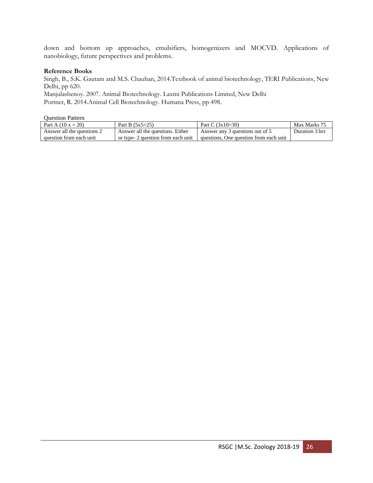down and bottom up approaches, emulsifiers, homogenizers and MOCVD. Applications of nanobiology, future perspectives and problems.

#### **Reference Books**

Singh, B., S.K. Gautam and M.S. Chauhan, 2014.Textbook of animal biotechnology, TERI Publications, New Delhi, pp 620.

Manjulashenoy. 2007. Animal Biotechnology. Laxmi Publications Limited, New Delhi Portner, R. 2014.Animal Cell Biotechnology. Humana Press, pp 498.

| Part A $(10 x = 20)$       | Part B $(5x5=25)$                  | Part C $(3x10=30)$                     | Max Marks 75   |
|----------------------------|------------------------------------|----------------------------------------|----------------|
| Answer all the questions 2 | Answer all the questions. Either   | Answer any 3 questions out of 5        | Duration 3 hrs |
| question from each unit    | or type- 2 question from each unit | questions. One question from each unit |                |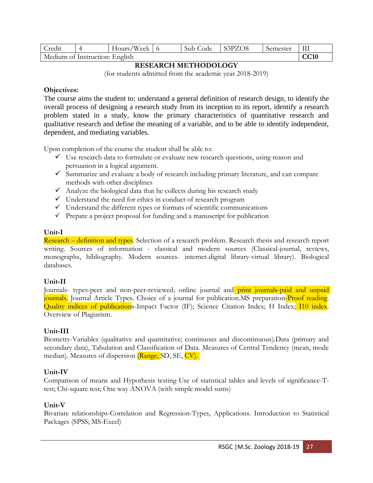| Credit                         |  | Hours/Week 6 |  | Sub Code | S3PZO8 | Semester |             |
|--------------------------------|--|--------------|--|----------|--------|----------|-------------|
| Medium of Instruction: English |  |              |  |          |        |          | <b>CC10</b> |

## **RESEARCH METHODOLOGY**

(for students admitted from the academic year 2018-2019)

## **Objectives:**

The course aims the student to: understand a general definition of research design, to identify the overall process of designing a research study from its inception to its report, identify a research problem stated in a study, know the primary characteristics of quantitative research and qualitative research and define the meaning of a variable, and to be able to identify independent, dependent, and mediating variables.

Upon completion of the course the student shall be able to:

- $\checkmark$  Use research data to formulate or evaluate new research questions, using reason and persuasion in a logical argument.
- ✓ Summarize and evaluate a body of research including primary literature, and can compare methods with other disciplines
- $\checkmark$  Analyze the biological data that he collects during his research study
- $\checkmark$  Understand the need for ethics in conduct of research program
- ✓ Understand the different types or formats of scientific communications
- $\checkmark$  Prepare a project proposal for funding and a manuscript for publication

## **Unit-I**

Research – definition and types. Selection of a research problem. Research thesis and research report writing. Sources of information - classical and modern sources (Classical-journal, reviews, monographs, bibliography. Modern sources- internet-digital library-virtual library). Biological databases.

# **Unit-II**

Journals- types-peer and non-peer-reviewed; online journal and print journals-paid and unpaid journals. Journal Article Types. Choice of a journal for publication.MS preparation-Proof reading. Quality indices of publications-Impact Factor (IF); Science Citation Index; H Index; 110 index. Overview of Plagiarism.

## **Unit-III**

Biometry-Variables (qualitative and quantitative; continuous and discontinuous).Data (primary and secondary data), Tabulation and Classification of Data. Measures of Central Tendency (mean, mode median). Measures of dispersion (Range, SD, SE, CV).

# **Unit-IV**

Comparison of means and Hypothesis testing-Use of statistical tables and levels of significance-Ttest; Chi-square test; One way ANOVA (with simple model sums)

# **Unit-V**

Bivariate relationships-Correlation and Regression-Types, Applications. Introduction to Statistical Packages (SPSS; MS-Excel)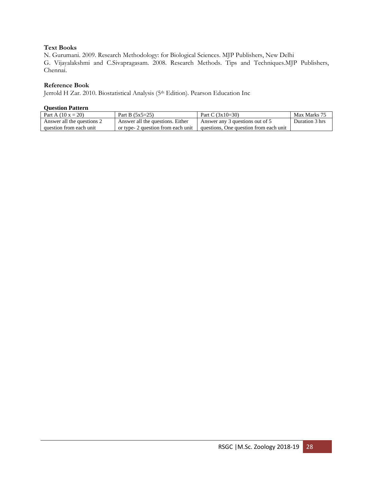## **Text Books**

N. Gurumani. 2009. Research Methodology: for Biological Sciences. MJP Publishers, New Delhi G. Vijayalakshmi and C.Sivapragasam. 2008. Research Methods. Tips and Techniques.MJP Publishers, Chennai.

### **Reference Book**

Jerrold H Zar. 2010. Biostatistical Analysis (5th Edition). Pearson Education Inc

| Part A $(10 x = 20)$       | Part B $(5x5=25)$                  | Part C $(3x10=30)$                     | Max Marks 75   |
|----------------------------|------------------------------------|----------------------------------------|----------------|
| Answer all the questions 2 | Answer all the questions. Either   | Answer any 3 questions out of 5        | Duration 3 hrs |
| question from each unit    | or type- 2 question from each unit | questions, One question from each unit |                |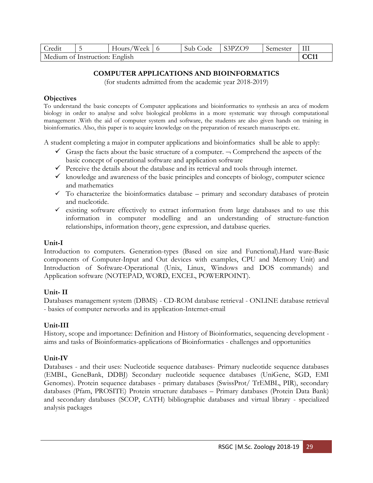| Credit                         |  | Hours/Week |  | Sub Code | S3PZO9 | Semester |       |
|--------------------------------|--|------------|--|----------|--------|----------|-------|
| Medium of Instruction: English |  |            |  |          |        |          | CC 11 |

# **COMPUTER APPLICATIONS AND BIOINFORMATICS**

(for students admitted from the academic year 2018-2019)

## **Objectives**

To understand the basic concepts of Computer applications and bioinformatics to synthesis an area of modern biology in order to analyse and solve biological problems in a more systematic way through computational management .With the aid of computer system and software, the students are also given hands on training in bioinformatics. Also, this paper is to acquire knowledge on the preparation of research manuscripts etc.

A student completing a major in computer applications and bioinformatics shall be able to apply:

- $\checkmark$  Grasp the facts about the basic structure of a computer.  $\neg$  Comprehend the aspects of the basic concept of operational software and application software
- $\checkmark$  Perceive the details about the database and its retrieval and tools through internet.
- $\checkmark$  knowledge and awareness of the basic principles and concepts of biology, computer science and mathematics
- $\checkmark$  To characterize the bioinformatics database primary and secondary databases of protein and nucleotide.
- ✓ existing software effectively to extract information from large databases and to use this information in computer modelling and an understanding of structure-function relationships, information theory, gene expression, and database queries.

# **Unit-I**

Introduction to computers. Generation-types (Based on size and Functional).Hard ware-Basic components of Computer-Input and Out devices with examples, CPU and Memory Unit) and Introduction of Software-Operational (Unix, Linux, Windows and DOS commands) and Application software (NOTEPAD, WORD, EXCEL, POWERPOINT).

# **Unit- II**

Databases management system (DBMS) - CD-ROM database retrieval - ONLINE database retrieval - basics of computer networks and its application-Internet-email

# **Unit-III**

History, scope and importance: Definition and History of Bioinformatics, sequencing development aims and tasks of Bioinformatics-applications of Bioinformatics - challenges and opportunities

# **Unit-IV**

Databases - and their uses: Nucleotide sequence databases- Primary nucleotide sequence databases (EMBL, GeneBank, DDBJ) Secondary nucleotide sequence databases (UniGene, SGD, EMI Genomes). Protein sequence databases - primary databases (SwissProt/ TrEMBL, PIR), secondary databases (Pfam, PROSITE) Protein structure databases – Primary databases (Protein Data Bank) and secondary databases (SCOP, CATH) bibliographic databases and virtual library - specialized analysis packages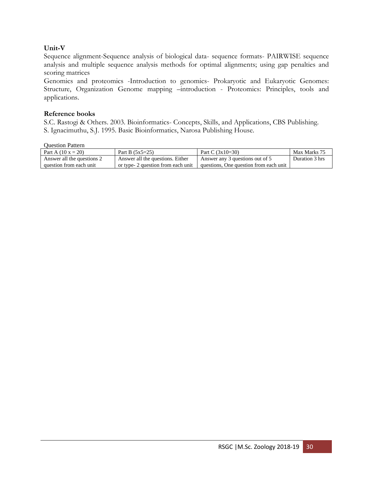# **Unit-V**

Sequence alignment-Sequence analysis of biological data- sequence formats- PAIRWISE sequence analysis and multiple sequence analysis methods for optimal alignments; using gap penalties and scoring matrices

Genomics and proteomics -Introduction to genomics- Prokaryotic and Eukaryotic Genomes: Structure, Organization Genome mapping –introduction - Proteomics: Principles, tools and applications.

## **Reference books**

S.C. Rastogi & Others. 2003. Bioinformatics- Concepts, Skills, and Applications, CBS Publishing. S. Ignacimuthu, S.J. 1995. Basic Bioinformatics, Narosa Publishing House.

| Part A $(10 x = 20)$       | Part B $(5x5=25)$                  | Part C $(3x10=30)$                     | Max Marks 75   |
|----------------------------|------------------------------------|----------------------------------------|----------------|
| Answer all the questions 2 | Answer all the questions. Either   | Answer any 3 questions out of 5        | Duration 3 hrs |
| question from each unit    | or type- 2 question from each unit | questions. One question from each unit |                |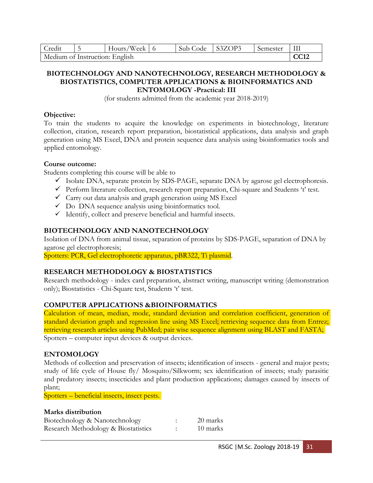| Credit                         |  | Hours/Week $\vert$ 6 |  | Sub Code | $ $ S3ZOP3 | Semester | $\rm III$   |
|--------------------------------|--|----------------------|--|----------|------------|----------|-------------|
| Medium of Instruction: English |  |                      |  |          |            |          | <b>CC12</b> |

### **BIOTECHNOLOGY AND NANOTECHNOLOGY, RESEARCH METHODOLOGY & BIOSTATISTICS, COMPUTER APPLICATIONS & BIOINFORMATICS AND ENTOMOLOGY -Practical: III**

(for students admitted from the academic year 2018-2019)

### **Objective:**

To train the students to acquire the knowledge on experiments in biotechnology, literature collection, citation, research report preparation, biostatistical applications, data analysis and graph generation using MS Excel, DNA and protein sequence data analysis using bioinformatics tools and applied entomology.

## **Course outcome:**

Students completing this course will be able to

- ✓ Isolate DNA, separate protein by SDS-PAGE, separate DNA by agarose gel electrophoresis.
- ✓ Perform literature collection, research report preparation, Chi-square and Students 't' test.
- $\checkmark$  Carry out data analysis and graph generation using MS Excel
- $\checkmark$  Do DNA sequence analysis using bioinformatics tool.
- ✓ Identify, collect and preserve beneficial and harmful insects.

# **BIOTECHNOLOGY AND NANOTECHNOLOGY**

Isolation of DNA from animal tissue, separation of proteins by SDS-PAGE, separation of DNA by agarose gel electrophoresis;

Spotters: PCR, Gel electrophoretic apparatus, pBR322, Ti plasmid.

# **RESEARCH METHODOLOGY & BIOSTATISTICS**

Research methodology - index card preparation, abstract writing, manuscript writing (demonstration only); Biostatistics - Chi-Square test, Students 't' test.

# **COMPUTER APPLICATIONS &BIOINFORMATICS**

Calculation of mean, median, mode, standard deviation and correlation coefficient, generation of standard deviation graph and regression line using MS Excel; retrieving sequence data from Entrez; retrieving research articles using PubMed; pair wise sequence alignment using BLAST and FASTA; Spotters – computer input devices & output devices.

## **ENTOMOLOGY**

Methods of collection and preservation of insects; identification of insects - general and major pests; study of life cycle of House fly/ Mosquito/Silkworm; sex identification of insects; study parasitic and predatory insects; insecticides and plant production applications; damages caused by insects of plant;

Spotters – beneficial insects, insect pests.

# **Marks distribution**

| Biotechnology & Nanotechnology       | 20 marks |
|--------------------------------------|----------|
| Research Methodology & Biostatistics | 10 marks |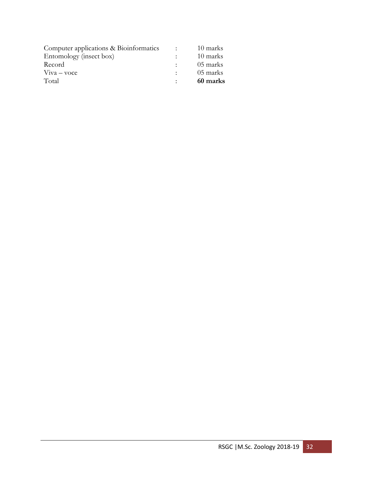| Computer applications & Bioinformatics | <b>Contract Contract</b> | 10 marks |
|----------------------------------------|--------------------------|----------|
| Entomology (insect box)                |                          | 10 marks |
| Record                                 |                          | 05 marks |
| $V$ iva – voce                         |                          | 05 marks |
| Total                                  |                          | 60 marks |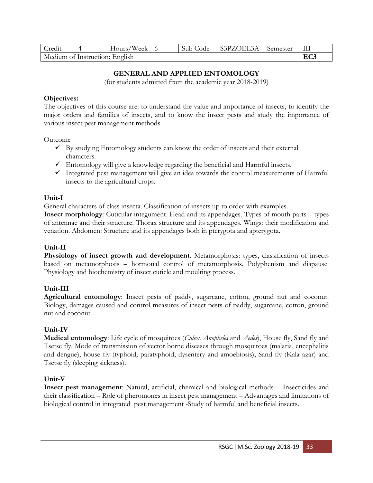| Credit                         | Hours/Week | Sub Code | S3PZOEL3A | Semester |     |
|--------------------------------|------------|----------|-----------|----------|-----|
| Medium of Instruction: English |            |          |           |          | EC3 |

# **GENERAL AND APPLIED ENTOMOLOGY**

(for students admitted from the academic year 2018-2019)

### **Objectives:**

The objectives of this course are: to understand the value and importance of insects, to identify the major orders and families of insects, and to know the insect pests and study the importance of various insect pest management methods.

Outcome

- $\checkmark$  By studying Entomology students can know the order of insects and their external characters.
- $\checkmark$  Entomology will give a knowledge regarding the beneficial and Harmful insects.
- $\checkmark$  Integrated pest management will give an idea towards the control measurements of Harmful insects to the agricultural crops.

## **Unit-I**

General characters of class insecta. Classification of insects up to order with examples.

**Insect morphology**: Cuticular integument. Head and its appendages. Types of mouth parts – types of antennae and their structure. Thorax structure and its appendages. Wings: their modification and venation. Abdomen: Structure and its appendages both in pterygota and apterygota.

## **Unit-II**

**Physiology of insect growth and development**. Metamorphosis: types, classification of insects based on metamorphosis – hormonal control of metamorphosis. Polyphenism and diapause. Physiology and biochemistry of insect cuticle and moulting process.

## **Unit-III**

**Agricultural entomology**: Insect pests of paddy, sugarcane, cotton, ground nut and coconut. Biology, damages caused and control measures of insect pests of paddy, sugarcane, cotton, ground nut and coconut.

## **Unit-IV**

**Medical entomology**: Life cycle of mosquitoes (*Culex, Anopheles* and *Aedes*), House fly, Sand fly and Tsetse fly. Mode of transmission of vector borne diseases through mosquitoes (malaria, encephalitis and dengue), house fly (typhoid, paratyphoid, dysentery and amoebiosis), Sand fly (Kala azar) and Tsetse fly (sleeping sickness).

## **Unit-V**

**Insect pest management**: Natural, artificial, chemical and biological methods – Insecticides and their classification – Role of pheromones in insect pest management – Advantages and limitations of biological control in integrated pest management -Study of harmful and beneficial insects.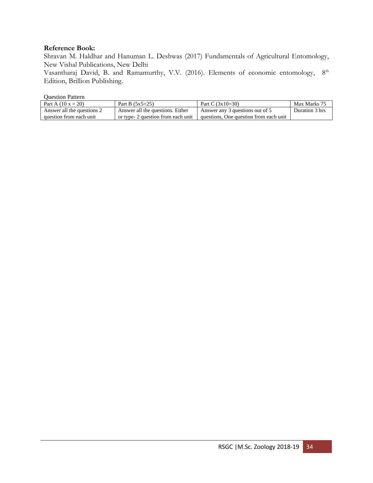## **Reference Book:**

Shravan M. Haldhar and Hanuman L. Deshwas (2017) Fundamentals of Agricultural Entomology, New Vishal Publications, New Delhi

Vasantharaj David, B. and Ramamurthy, V.V. (2016). Elements of economic entomology, 8<sup>th</sup> Edition, Brillion Publishing.

| Part A $(10 x = 20)$       | Part B $(5x5=25)$                  | Part C $(3x10=30)$                     | Max Marks 75   |
|----------------------------|------------------------------------|----------------------------------------|----------------|
| Answer all the questions 2 | Answer all the questions. Either   | Answer any 3 questions out of 5        | Duration 3 hrs |
| question from each unit    | or type- 2 question from each unit | questions, One question from each unit |                |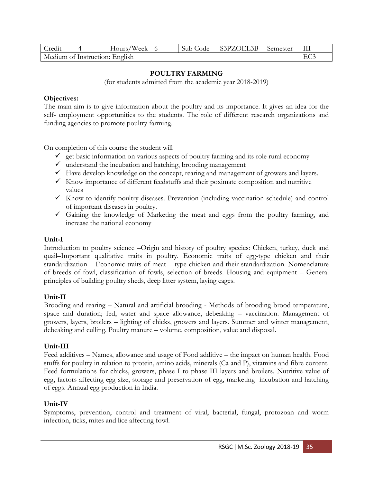| Credit                         |  | Hours/Week $\vert$ 6 |  | Sub Code | S3PZOEL3B | Semester | $\rm III$ |
|--------------------------------|--|----------------------|--|----------|-----------|----------|-----------|
| Medium of Instruction: English |  |                      |  |          |           |          |           |

## **POULTRY FARMING**

(for students admitted from the academic year 2018-2019)

### **Objectives:**

The main aim is to give information about the poultry and its importance. It gives an idea for the self- employment opportunities to the students. The role of different research organizations and funding agencies to promote poultry farming.

On completion of this course the student will

- $\checkmark$  get basic information on various aspects of poultry farming and its role rural economy
- $\checkmark$  understand the incubation and hatching, brooding management
- $\checkmark$  Have develop knowledge on the concept, rearing and management of growers and layers.
- $\checkmark$  Know importance of different feedstuffs and their poximate composition and nutritive values
- ✓ Know to identify poultry diseases. Prevention (including vaccination schedule) and control of important diseases in poultry.
- $\checkmark$  Gaining the knowledge of Marketing the meat and eggs from the poultry farming, and increase the national economy

## **Unit-I**

Introduction to poultry science –Origin and history of poultry species: Chicken, turkey, duck and quail–Important qualitative traits in poultry. Economic traits of egg-type chicken and their standardization – Economic traits of meat – type chicken and their standardization. Nomenclature of breeds of fowl, classification of fowls, selection of breeds. Housing and equipment – General principles of building poultry sheds, deep litter system, laying cages.

## **Unit-II**

Brooding and rearing – Natural and artificial brooding - Methods of brooding brood temperature, space and duration; fed, water and space allowance, debeaking – vaccination. Management of growers, layers, broilers – lighting of chicks, growers and layers. Summer and winter management, debeaking and culling. Poultry manure – volume, composition, value and disposal.

## **Unit-III**

Feed additives – Names, allowance and usage of Food additive – the impact on human health. Food stuffs for poultry in relation to protein, amino acids, minerals (Ca and P), vitamins and fibre content. Feed formulations for chicks, growers, phase I to phase III layers and broilers. Nutritive value of egg, factors affecting egg size, storage and preservation of egg, marketing incubation and hatching of eggs. Annual egg production in India.

## **Unit-IV**

Symptoms, prevention, control and treatment of viral, bacterial, fungal, protozoan and worm infection, ticks, mites and lice affecting fowl.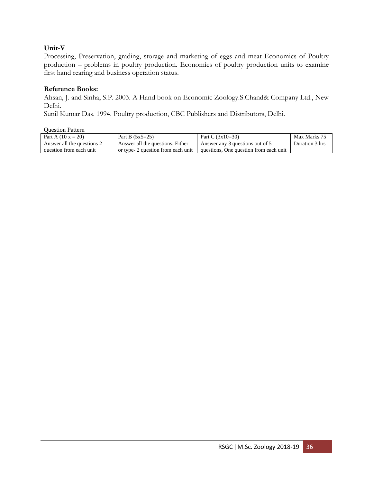# **Unit-V**

Processing, Preservation, grading, storage and marketing of eggs and meat Economics of Poultry production – problems in poultry production. Economics of poultry production units to examine first hand rearing and business operation status.

# **Reference Books:**

Ahsan, J. and Sinha, S.P. 2003. A Hand book on Economic Zoology.S.Chand& Company Ltd., New Delhi.

Sunil Kumar Das. 1994. Poultry production, CBC Publishers and Distributors, Delhi.

| Part A $(10 x = 20)$       | Part B $(5x5=25)$                  | Part C $(3x10=30)$                     | Max Marks 75   |
|----------------------------|------------------------------------|----------------------------------------|----------------|
| Answer all the questions 2 | Answer all the questions. Either   | Answer any 3 questions out of 5        | Duration 3 hrs |
| question from each unit    | or type- 2 question from each unit | questions. One question from each unit |                |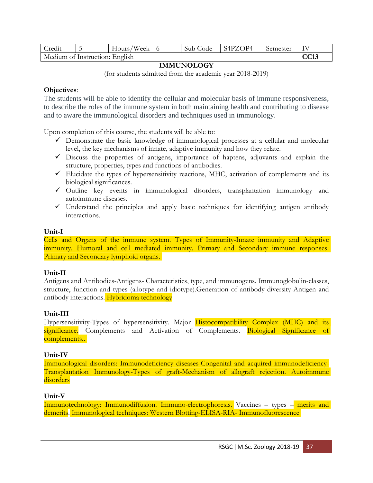| Credit                         | - | Hours/Week $\vert$ 6 |  | Sub Code | S4PZOP4 | Semester |  |
|--------------------------------|---|----------------------|--|----------|---------|----------|--|
| Medium of Instruction: English |   |                      |  |          |         |          |  |

## **IMMUNOLOGY**

(for students admitted from the academic year 2018-2019)

## **Objectives**:

The students will be able to identify the cellular and molecular basis of immune responsiveness, to describe the roles of the immune system in both maintaining health and contributing to disease and to aware the immunological disorders and techniques used in immunology.

Upon completion of this course, the students will be able to:

- $\checkmark$  Demonstrate the basic knowledge of immunological processes at a cellular and molecular level, the key mechanisms of innate, adaptive immunity and how they relate.
- $\checkmark$  Discuss the properties of antigens, importance of haptens, adjuvants and explain the structure, properties, types and functions of antibodies.
- $\checkmark$  Elucidate the types of hypersensitivity reactions, MHC, activation of complements and its biological significances.
- ✓ Outline key events in immunological disorders, transplantation immunology and autoimmune diseases.
- $\checkmark$  Understand the principles and apply basic techniques for identifying antigen antibody interactions.

## **Unit-I**

Cells and Organs of the immune system. Types of Immunity-Innate immunity and Adaptive immunity. Humoral and cell mediated immunity. Primary and Secondary immune responses. Primary and Secondary lymphoid organs.

## **Unit-II**

Antigens and Antibodies-Antigens- Characteristics, type, and immunogens. Immunoglobulin-classes, structure, function and types (allotype and idiotype). Generation of antibody diversity-Antigen and antibody interactions. Hybridoma technology

## **Unit-III**

Hypersensitivity-Types of hypersensitivity. Major Histocompatibility Complex (MHC) and its significance. Complements and Activation of Complements. Biological Significance of complements..

## **Unit-IV**

Immunological disorders: Immunodeficiency diseases-Congenital and acquired immunodeficiency-Transplantation Immunology-Types of graft-Mechanism of allograft rejection. Autoimmune disorders

## **Unit-V**

Immunotechnology: Immunodiffusion. Immuno-electrophoresis. Vaccines – types – merits and demerits. Immunological techniques: Western Blotting-ELISA-RIA- Immunofluorescence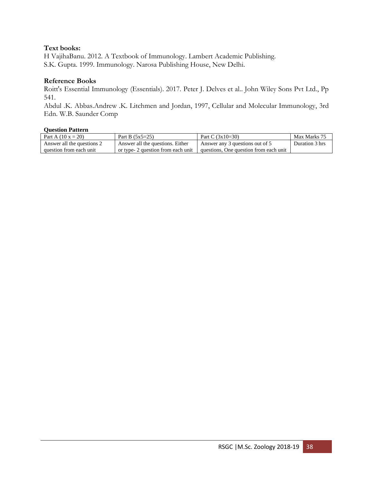## **Text books:**

H VajihaBanu. 2012. A Textbook of Immunology. Lambert Academic Publishing. S.K. Gupta. 1999. Immunology. Narosa Publishing House, New Delhi.

### **Reference Books**

Roitt's Essential Immunology (Essentials). 2017. Peter J. Delves et al.. John Wiley Sons Pvt Ltd., Pp 541.

Abdul .K. Abbas.Andrew .K. Litchmen and Jordan, 1997, Cellular and Molecular Immunology, 3rd Edn. W.B. Saunder Comp

| Part A $(10 x = 20)$       | Part B $(5x5=25)$                  | Part C $(3x10=30)$                     | Max Marks 75   |
|----------------------------|------------------------------------|----------------------------------------|----------------|
| Answer all the questions 2 | Answer all the questions. Either   | Answer any 3 questions out of 5        | Duration 3 hrs |
| question from each unit    | or type- 2 question from each unit | questions. One question from each unit |                |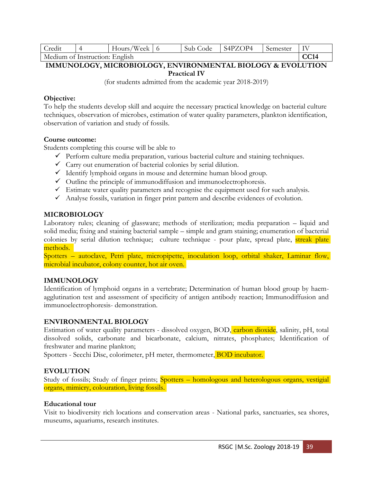| Credit                         |  | Hours/Week |  | Sub Code | S4PZOP4 | Semester | TV |
|--------------------------------|--|------------|--|----------|---------|----------|----|
| Medium of Instruction: English |  |            |  |          |         |          |    |

# **IMMUNOLOGY, MICROBIOLOGY, ENVIRONMENTAL BIOLOGY & EVOLUTION Practical IV**

(for students admitted from the academic year 2018-2019)

### **Objective:**

To help the students develop skill and acquire the necessary practical knowledge on bacterial culture techniques, observation of microbes, estimation of water quality parameters, plankton identification, observation of variation and study of fossils.

### **Course outcome:**

Students completing this course will be able to

- $\checkmark$  Perform culture media preparation, various bacterial culture and staining techniques.
- $\checkmark$  Carry out enumeration of bacterial colonies by serial dilution.
- $\checkmark$  Identify lymphoid organs in mouse and determine human blood group.
- $\checkmark$  Outline the principle of immunodiffusion and immunoelectrophoresis.
- $\checkmark$  Estimate water quality parameters and recognise the equipment used for such analysis.
- ✓ Analyse fossils, variation in finger print pattern and describe evidences of evolution.

## **MICROBIOLOGY**

Laboratory rules; cleaning of glassware; methods of sterilization; media preparation – liquid and solid media; fixing and staining bacterial sample – simple and gram staining; enumeration of bacterial colonies by serial dilution technique; culture technique - pour plate, spread plate, streak plate methods.

Spotters – autoclave, Petri plate, micropipette, inoculation loop, orbital shaker, Laminar flow, microbial incubator, colony counter, hot air oven.

## **IMMUNOLOGY**

Identification of lymphoid organs in a vertebrate; Determination of human blood group by haemagglutination test and assessment of specificity of antigen antibody reaction; Immunodiffusion and immunoelectrophoresis- demonstration.

## **ENVIRONMENTAL BIOLOGY**

Estimation of water quality parameters - dissolved oxygen, BOD, carbon dioxide, salinity, pH, total dissolved solids, carbonate and bicarbonate, calcium, nitrates, phosphates; Identification of freshwater and marine plankton;

Spotters - Secchi Disc, colorimeter, pH meter, thermometer, BOD incubator.

## **EVOLUTION**

Study of fossils; Study of finger prints; **Spotters – homologous and heterologous organs, vestigial** organs, mimicry, colouration, living fossils.

## **Educational tour**

Visit to biodiversity rich locations and conservation areas - National parks, sanctuaries, sea shores, museums, aquariums, research institutes.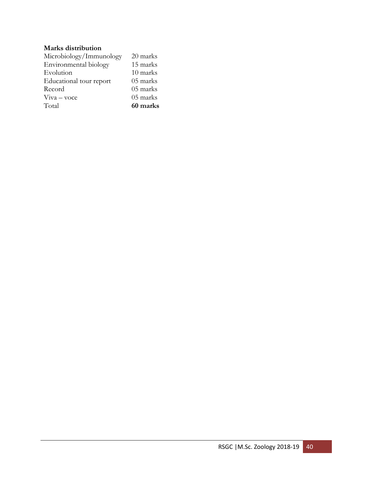# **Marks distribution**

| Microbiology/Immunology | 20 marks |
|-------------------------|----------|
| Environmental biology   | 15 marks |
| Evolution               | 10 marks |
| Educational tour report | 05 marks |
| Record                  | 05 marks |
| $V$ iva – voce          | 05 marks |
| Total                   | 60 marks |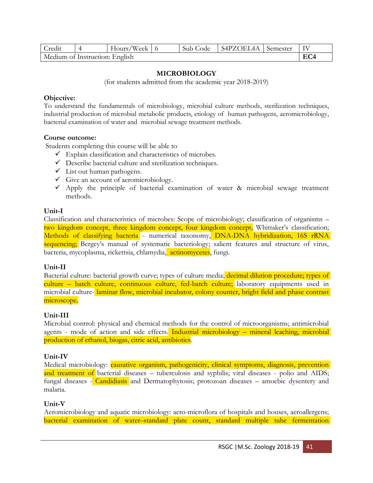| Credit                         |  | Hours/Week $\vert$ 6 |  | Sub Code | S4PZOEL4A | Semester | TV |
|--------------------------------|--|----------------------|--|----------|-----------|----------|----|
| Medium of Instruction: English |  |                      |  |          |           |          |    |

## **MICROBIOLOGY**

(for students admitted from the academic year 2018-2019)

### **Objective:**

To understand the fundamentals of microbiology, microbial culture methods, sterilization techniques, industrial production of microbial metabolic products, etiology of human pathogens, aeromicrobiology, bacterial examination of water and microbial sewage treatment methods.

### **Course outcome:**

Students completing this course will be able to

- $\checkmark$  Explain classification and characteristics of microbes.
- $\checkmark$  Describe bacterial culture and sterilization techniques.
- $\checkmark$  List out human pathogens.
- $\checkmark$  Give an account of aeromicrobiology.
- $\checkmark$  Apply the principle of bacterial examination of water & microbial sewage treatment methods.

## **Unit-I**

Classification and characteristics of microbes: Scope of microbiology; classification of organisms – two kingdom concept, three kingdom concept, four kingdom concept, Whittaker's classification; Methods of classifying bacteria - numerical taxonomy, DNA-DNA hybridization, 16S rRNA sequencing; Bergey's manual of systematic bacteriology; salient features and structure of virus, bacteria, mycoplasma, rickettsia, chlamydia, actinomycetes, fungi.

## **Unit-II**

Bacterial culture: bacterial growth curve; types of culture media; decimal dilution procedure; types of culture – batch culture, continuous culture, fed-batch culture; laboratory equipments used in microbial culture- laminar flow, microbial incubator, colony counter, bright field and phase contrast microscope.

## **Unit-III**

Microbial control: physical and chemical methods for the control of microorganisms; antimicrobial agents - mode of action and side effects. Industrial microbiology – mineral leaching, microbial production of ethanol, biogas, citric acid, antibiotics.

## **Unit-IV**

Medical microbiology: causative organism, pathogenicity, clinical symptoms, diagnosis, prevention and treatment of bacterial diseases – tuberculosis and syphilis; viral diseases - polio and AIDS; fungal diseases - Candidiasis and Dermatophytosis; protozoan diseases – amoebic dysentery and malaria.

## **Unit-V**

Aeromicrobiology and aquatic microbiology: aero-microflora of hospitals and houses, aeroallergens; bacterial examination of water–standard plate count, standard multiple tube fermentation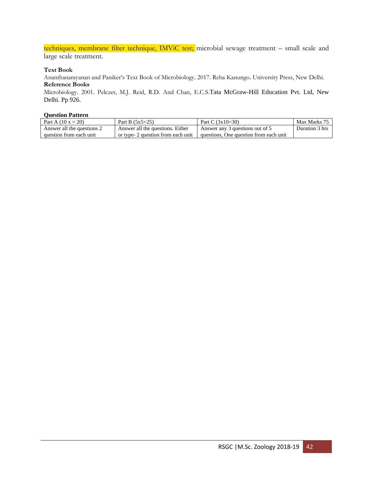techniques, membrane filter technique, IMViC test; microbial sewage treatment - small scale and large scale treatment.

#### **Text Book**

Ananthanarayanan and Paniker's Text Book of Microbiology. 2017. Reba Kanungo. University Press, New Delhi. **Reference Books**

Microbiology. 2001. Pelczer, M.J. Reid, R.D. And Chan, E.C.S.Tata McGraw-Hill Education Pvt. Ltd, New Delhi. Pp 926.

| Part A $(10 x = 20)$       | Part B $(5x5=25)$                  | Part C $(3x10=30)$                     | Max Marks 75   |
|----------------------------|------------------------------------|----------------------------------------|----------------|
| Answer all the questions 2 | Answer all the questions. Either   | Answer any 3 questions out of 5        | Duration 3 hrs |
| question from each unit    | or type- 2 question from each unit | questions. One question from each unit |                |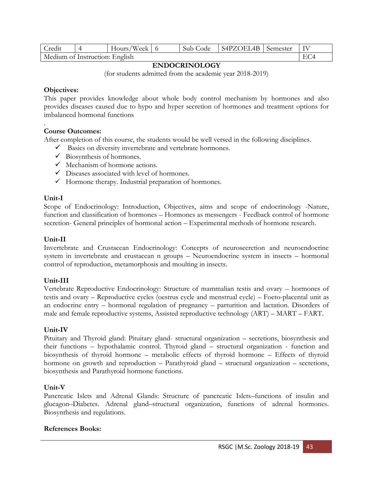| Credit                         |  | Hours/Week   6 |  | Sub Code | S4PZOEL4B Semester |  | - IV |
|--------------------------------|--|----------------|--|----------|--------------------|--|------|
| Medium of Instruction: English |  |                |  |          |                    |  |      |

## **ENDOCRINOLOGY**

(for students admitted from the academic year 2018-2019)

## **Objectives:**

This paper provides knowledge about whole body control mechanism by hormones and also provides diseases caused due to hypo and hyper secretion of hormones and treatment options for imbalanced hormonal functions

### . **Course Outcomes:**

After completion of this course, the students would be well versed in the following disciplines.

- ✓ Basics on diversity invertebrate and vertebrate hormones.
- $\checkmark$  Biosynthesis of hormones.
- $\checkmark$  Mechanism of hormone actions.
- ✓ Diseases associated with level of hormones.
- $\checkmark$  Hormone therapy. Industrial preparation of hormones.

## **Unit-I**

Scope of Endocrinology: Introduction, Objectives, aims and scope of endocrinology -Nature, function and classification of hormones – Hormones as messengers - Feedback control of hormone secretion- General principles of hormonal action – Experimental methods of hormone research.

# **Unit-II**

Invertebrate and Crustacean Endocrinology: Concepts of neurosecretion and neuroendocrine system in invertebrate and crustacean n groups – Neuroendocrine system in insects – hormonal control of reproduction, metamorphosis and moulting in insects.

# **Unit-III**

Vertebrate Reproductive Endocrinology: Structure of mammalian testis and ovary – hormones of testis and ovary – Reproductive cycles (oestrus cycle and menstrual cycle) – Foeto-placental unit as an endocrine entry – hormonal regulation of pregnancy – parturition and lactation. Disorders of male and female reproductive systems, Assisted reproductive technology (ART) – MART – FART.

## **Unit-IV**

Pituitary and Thyroid gland: Pituitary gland- structural organization – secretions, biosynthesis and their functions – hypothalamic control. Thyroid gland – structural organization - function and biosynthesis of thyroid hormone – metabolic effects of thyroid hormone – Effects of thyroid hormone on growth and reproduction – Parathyroid gland – structural organization – secretions, biosynthesis and Parathyroid hormone functions.

## **Unit-V**

Pancreatic Islets and Adrenal Glands: Structure of pancreatic Islets–functions of insulin and glucagon–Diabetes. Adrenal gland–structural organization, functions of adrenal hormones. Biosynthesis and regulations.

## **References Books:**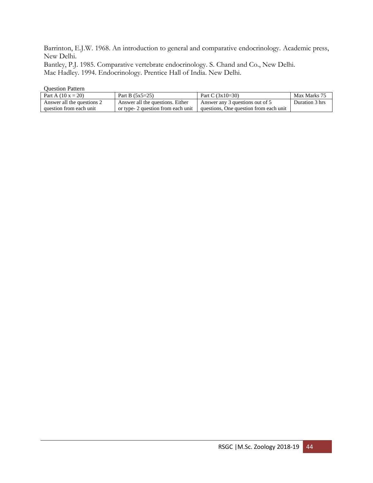Barrinton, E.J.W. 1968. An introduction to general and comparative endocrinology. Academic press, New Delhi.

Bantley, P.J. 1985. Comparative vertebrate endocrinology. S. Chand and Co., New Delhi. Mac Hadley. 1994. Endocrinology. Prentice Hall of India. New Delhi.

| Part A $(10 x = 20)$       | Part B $(5x5=25)$                  | Part C $(3x10=30)$                     | Max Marks 75   |
|----------------------------|------------------------------------|----------------------------------------|----------------|
| Answer all the questions 2 | Answer all the questions. Either   | Answer any 3 questions out of 5        | Duration 3 hrs |
| question from each unit    | or type- 2 question from each unit | questions, One question from each unit |                |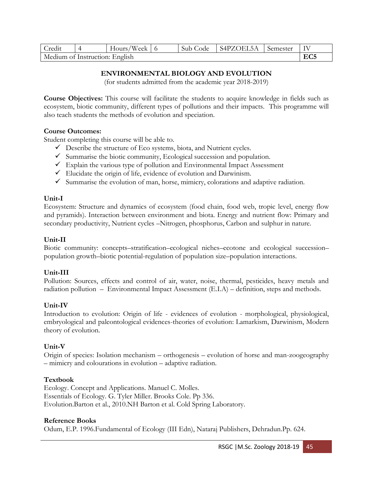| Credit                         |  | Hours/Week |  | Sub Code | S4PZOEL5A | Semester | IV |
|--------------------------------|--|------------|--|----------|-----------|----------|----|
| Medium of Instruction: English |  |            |  |          |           |          |    |

# **ENVIRONMENTAL BIOLOGY AND EVOLUTION**

(for students admitted from the academic year 2018-2019)

**Course Objectives:** This course will facilitate the students to acquire knowledge in fields such as ecosystem, biotic community, different types of pollutions and their impacts. This programme will also teach students the methods of evolution and speciation.

## **Course Outcomes:**

Student completing this course will be able to.

- ✓ Describe the structure of Eco systems, biota, and Nutrient cycles.
- $\checkmark$  Summarise the biotic community, Ecological succession and population.
- $\checkmark$  Explain the various type of pollution and Environmental Impact Assessment
- $\checkmark$  Elucidate the origin of life, evidence of evolution and Darwinism.
- $\checkmark$  Summarise the evolution of man, horse, mimicry, colorations and adaptive radiation.

## **Unit-I**

Ecosystem: Structure and dynamics of ecosystem (food chain, food web, tropic level, energy flow and pyramids). Interaction between environment and biota. Energy and nutrient flow: Primary and secondary productivity, Nutrient cycles –Nitrogen, phosphorus, Carbon and sulphur in nature.

# **Unit-II**

Biotic community: concepts–stratification–ecological niches–ecotone and ecological succession– population growth–biotic potential-regulation of population size–population interactions.

# **Unit-III**

Pollution: Sources, effects and control of air, water, noise, thermal, pesticides, heavy metals and radiation pollution – Environmental Impact Assessment (E.I.A) – definition, steps and methods.

# **Unit-IV**

Introduction to evolution: Origin of life - evidences of evolution - morphological, physiological, embryological and paleontological evidences-theories of evolution: Lamarkism, Darwinism, Modern theory of evolution.

# **Unit-V**

Origin of species: Isolation mechanism – orthogenesis – evolution of horse and man-zoogeography – mimicry and colourations in evolution – adaptive radiation.

# **Textbook**

Ecology. Concept and Applications. Manuel C. Molles. Essentials of Ecology. G. Tyler Miller. Brooks Cole. Pp 336. Evolution.Barton et al., 2010.NH Barton et al. Cold Spring Laboratory.

# **Reference Books**

Odum, E.P. 1996.Fundamental of Ecology (III Edn), Nataraj Publishers, Dehradun.Pp. 624.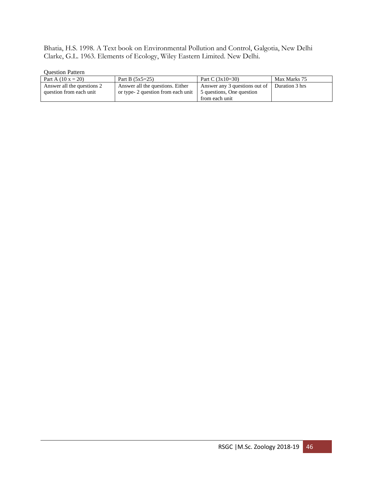Bhatia, H.S. 1998. A Text book on Environmental Pollution and Control, Galgotia, New Delhi Clarke, G.L. 1963. Elements of Ecology, Wiley Eastern Limited. New Delhi.

| Part A $(10 x = 20)$       | Part B $(5x5=25)$                  | Part C $(3x10=30)$            | Max Marks 75   |
|----------------------------|------------------------------------|-------------------------------|----------------|
| Answer all the questions 2 | Answer all the questions. Either   | Answer any 3 questions out of | Duration 3 hrs |
| question from each unit    | or type- 2 question from each unit | 5 questions, One question     |                |
|                            |                                    | from each unit                |                |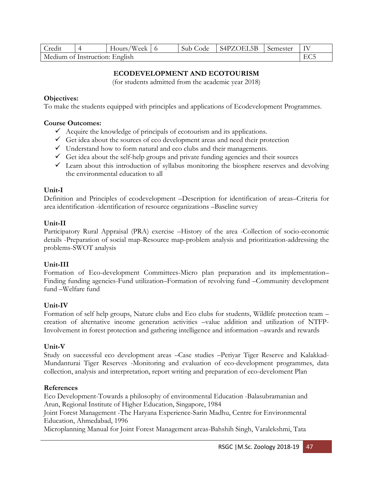| Credit                         |  | Hours/Week |  | Sub Code | S4PZOEL5B | Semester | IV |
|--------------------------------|--|------------|--|----------|-----------|----------|----|
| Medium of Instruction: English |  |            |  |          |           |          |    |

# **ECODEVELOPMENT AND ECOTOURISM**

(for students admitted from the academic year 2018)

## **Objectives:**

To make the students equipped with principles and applications of Ecodevelopment Programmes.

### **Course Outcomes:**

- $\checkmark$  Acquire the knowledge of principals of ecotourism and its applications.
- $\checkmark$  Get idea about the sources of eco development areas and need their protection
- $\checkmark$  Understand how to form natural and eco clubs and their managements.
- $\checkmark$  Get idea about the self-help groups and private funding agencies and their sources
- $\checkmark$  Learn about this introduction of syllabus monitoring the biosphere reserves and devolving the environmental education to all

### **Unit-I**

Definition and Principles of ecodevelopment –Description for identification of areas–Criteria for area identification -identification of resource organizations –Baseline survey

### **Unit-II**

Participatory Rural Appraisal (PRA) exercise –History of the area -Collection of socio-economic details -Preparation of social map-Resource map-problem analysis and prioritization-addressing the problems-SWOT analysis

## **Unit-III**

Formation of Eco-development Committees-Micro plan preparation and its implementation– Finding funding agencies-Fund utilization–Formation of revolving fund –Community development fund –Welfare fund

## **Unit-IV**

Formation of self help groups, Nature clubs and Eco clubs for students, Wildlife protection team – creation of alternative income generation activities –value addition and utilization of NTFP-Involvement in forest protection and gathering intelligence and information –awards and rewards

#### **Unit-V**

Study on successful eco development areas –Case studies –Periyar Tiger Reserve and Kalakkad-Mundanturai Tiger Reserves -Monitoring and evaluation of eco-development programmes, data collection, analysis and interpretation, report writing and preparation of eco-develoment Plan

#### **References**

Eco Development-Towards a philosophy of environmental Education -Balasubramanian and Arun, Regional Institute of Higher Education, Singapore, 1984

Joint Forest Management -The Haryana Experience-Sarin Madhu, Centre for Environmental Education, Ahmedabad, 1996

Microplanning Manual for Joint Forest Management areas-Bahshih Singh, Varalekshmi, Tata